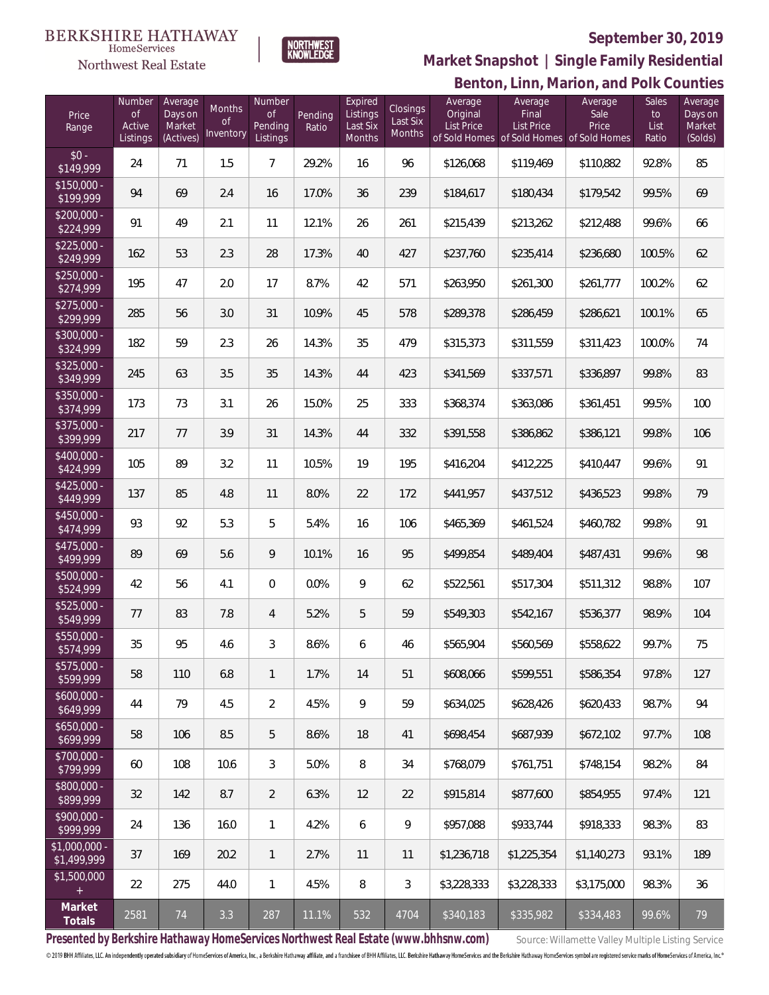#### **BERKSHIRE HATHAWAY**  $\label{lem:sevices} \textsc{Home} \textsc{Service} \textsc{s}$

Northwest Real Estate



#### **September 30, 2019**

**Benton, Linn, Marion, and Polk Counties Market Snapshot | Single Family Residential**

| Price<br>Range             | Number<br>0f<br>Active<br>Listings | Average<br>Days on<br>Market<br>(Actives) | Months<br>0f<br>Inventory | Number<br><b>of</b><br>Pending<br>Listings | Pending<br>Ratio | Expired<br>Listings<br>Last Six<br>Months | Closings<br>Last Six<br><b>Months</b> | Average<br>Original<br><b>List Price</b> | Average<br>Final<br><b>List Price</b><br>of Sold Homes of Sold Homes of Sold Homes | Average<br>Sale<br>Price | <b>Sales</b><br>to<br>List<br>Ratio | Average<br>Days on<br>Market<br>(Solds) |
|----------------------------|------------------------------------|-------------------------------------------|---------------------------|--------------------------------------------|------------------|-------------------------------------------|---------------------------------------|------------------------------------------|------------------------------------------------------------------------------------|--------------------------|-------------------------------------|-----------------------------------------|
| $$0 -$<br>\$149,999        | 24                                 | 71                                        | 1.5                       | $\overline{7}$                             | 29.2%            | 16                                        | 96                                    | \$126,068                                | \$119,469                                                                          | \$110,882                | 92.8%                               | 85                                      |
| $$150,000 -$<br>\$199,999  | 94                                 | 69                                        | 2.4                       | 16                                         | 17.0%            | 36                                        | 239                                   | \$184,617                                | \$180,434                                                                          | \$179,542                | 99.5%                               | 69                                      |
| $$200,000 -$<br>\$224,999  | 91                                 | 49                                        | 2.1                       | 11                                         | 12.1%            | 26                                        | 261                                   | \$215,439                                | \$213,262                                                                          | \$212,488                | 99.6%                               | 66                                      |
| $$225,000 -$<br>\$249,999  | 162                                | 53                                        | 2.3                       | 28                                         | 17.3%            | 40                                        | 427                                   | \$237,760                                | \$235,414                                                                          | \$236,680                | 100.5%                              | 62                                      |
| $$250,000 -$<br>\$274,999  | 195                                | 47                                        | 2.0                       | 17                                         | 8.7%             | 42                                        | 571                                   | \$263,950                                | \$261,300                                                                          | \$261,777                | 100.2%                              | 62                                      |
| $$275,000 -$<br>\$299,999  | 285                                | 56                                        | 3.0                       | 31                                         | 10.9%            | 45                                        | 578                                   | \$289,378                                | \$286,459                                                                          | \$286,621                | 100.1%                              | 65                                      |
| $$300,000 -$<br>\$324,999  | 182                                | 59                                        | 2.3                       | 26                                         | 14.3%            | 35                                        | 479                                   | \$315,373                                | \$311,559                                                                          | \$311,423                | 100.0%                              | 74                                      |
| $$325,000 -$<br>\$349,999  | 245                                | 63                                        | 3.5                       | 35                                         | 14.3%            | 44                                        | 423                                   | \$341,569                                | \$337,571                                                                          | \$336,897                | 99.8%                               | 83                                      |
| $$350,000 -$<br>\$374,999  | 173                                | 73                                        | 3.1                       | 26                                         | 15.0%            | 25                                        | 333                                   | \$368,374                                | \$363,086                                                                          | \$361,451                | 99.5%                               | 100                                     |
| $$375,000 -$<br>\$399,999  | 217                                | 77                                        | 3.9                       | 31                                         | 14.3%            | 44                                        | 332                                   | \$391,558                                | \$386,862                                                                          | \$386,121                | 99.8%                               | 106                                     |
| $$400,000 -$<br>\$424,999  | 105                                | 89                                        | 3.2                       | 11                                         | 10.5%            | 19                                        | 195                                   | \$416,204                                | \$412,225                                                                          | \$410,447                | 99.6%                               | 91                                      |
| $$425,000 -$<br>\$449,999  | 137                                | 85                                        | 4.8                       | 11                                         | 8.0%             | 22                                        | 172                                   | \$441,957                                | \$437,512                                                                          | \$436,523                | 99.8%                               | 79                                      |
| $$450.000 -$<br>\$474,999  | 93                                 | 92                                        | 5.3                       | 5                                          | 5.4%             | 16                                        | 106                                   | \$465,369                                | \$461,524                                                                          | \$460,782                | 99.8%                               | 91                                      |
| $$475,000 -$<br>\$499,999  | 89                                 | 69                                        | 5.6                       | 9                                          | 10.1%            | 16                                        | 95                                    | \$499,854                                | \$489,404                                                                          | \$487,431                | 99.6%                               | 98                                      |
| $$500,000 -$<br>\$524,999  | 42                                 | 56                                        | 4.1                       | 0                                          | 0.0%             | 9                                         | 62                                    | \$522,561                                | \$517,304                                                                          | \$511,312                | 98.8%                               | 107                                     |
| $$525,000 -$<br>\$549,999  | 77                                 | 83                                        | 7.8                       | 4                                          | 5.2%             | 5                                         | 59                                    | \$549,303                                | \$542,167                                                                          | \$536,377                | 98.9%                               | 104                                     |
| \$550,000 -<br>\$574,999   | 35                                 | 95                                        | 4.6                       | 3                                          | 8.6%             | 6                                         | 46                                    | \$565,904                                | \$560,569                                                                          | \$558,622                | 99.7%                               | 75                                      |
| $$575,000 -$<br>\$599,999  | 58                                 | 110                                       | 6.8                       | $\mathbf{1}$                               | 1.7%             | 14                                        | 51                                    | \$608,066                                | \$599,551                                                                          | \$586.354                | 97.8%                               | 127                                     |
| $$600.000 -$<br>\$649,999  | 44                                 | 79                                        | 4.5                       | $\overline{2}$                             | 4.5%             | 9                                         | 59                                    | \$634,025                                | \$628,426                                                                          | \$620,433                | 98.7%                               | 94                                      |
| $$650,000 -$<br>\$699,999  | 58                                 | 106                                       | 8.5                       | 5                                          | 8.6%             | 18                                        | 41                                    | \$698,454                                | \$687,939                                                                          | \$672,102                | 97.7%                               | 108                                     |
| $$700,000 -$<br>\$799,999  | 60                                 | 108                                       | 10.6                      | 3                                          | 5.0%             | 8                                         | 34                                    | \$768.079                                | \$761,751                                                                          | \$748,154                | 98.2%                               | 84                                      |
| \$800,000 -<br>\$899,999   | 32                                 | 142                                       | 8.7                       | $\overline{2}$                             | 6.3%             | 12                                        | 22                                    | \$915,814                                | \$877,600                                                                          | \$854,955                | 97.4%                               | 121                                     |
| $$900,000 -$<br>\$999,999  | 24                                 | 136                                       | 16.0                      | $\mathbf{1}$                               | 4.2%             | 6                                         | 9                                     | \$957,088                                | \$933,744                                                                          | \$918,333                | 98.3%                               | 83                                      |
| \$1,000,000<br>\$1,499,999 | 37                                 | 169                                       | 20.2                      | $\mathbf{1}$                               | 2.7%             | 11                                        | 11                                    | \$1,236,718                              | \$1,225,354                                                                        | \$1,140,273              | 93.1%                               | 189                                     |
| \$1,500,000<br>$+$         | 22                                 | 275                                       | 44.0                      | $\mathbf{1}$                               | 4.5%             | 8                                         | 3                                     | \$3,228,333                              | \$3,228,333                                                                        | \$3,175,000              | 98.3%                               | 36                                      |
| Market<br>Totals           | 2581                               | 74                                        | 3.3                       | 287                                        | 11.1%            | 532                                       | 4704                                  | \$340,183                                | \$335,982                                                                          | \$334,483                | 99.6%                               | 79                                      |

Presented by Berkshire Hathaway HomeServices Northwest Real Estate (www.bhhsnw.com) source: Willamette Valley Multiple Listing Service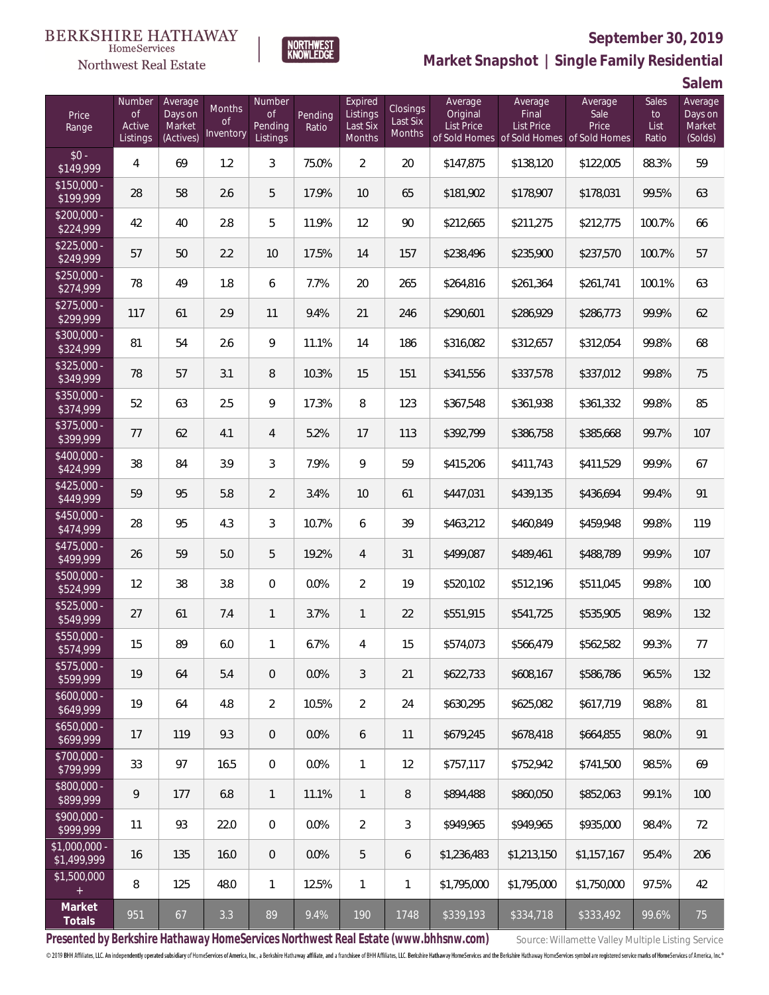#### BERKSHIRE HATHAWAY HomeServices

## Northwest Real Estate



## **September 30, 2019**

**Market Snapshot | Single Family Residential**

**Salem**

| Price<br>Range                   | Number<br>of<br>Active<br>Listings | Average<br>Days on<br>Market<br>(Actives) | Months<br><b>of</b><br>Inventory | Number<br><b>of</b><br>Pending<br>Listings | Pending<br>Ratio | Expired<br>Listings<br>Last Six<br>Months | <b>Closings</b><br>Last Six<br>Months | Average<br>Original<br>List Price | Average<br>Final<br>List Price<br>of Sold Homes of Sold Homes of Sold Homes | Average<br>Sale<br>Price | Sales<br>to<br>List<br>Ratio | Average<br>Days on<br>Market<br>(Solds) |
|----------------------------------|------------------------------------|-------------------------------------------|----------------------------------|--------------------------------------------|------------------|-------------------------------------------|---------------------------------------|-----------------------------------|-----------------------------------------------------------------------------|--------------------------|------------------------------|-----------------------------------------|
| $$0 -$<br>\$149,999              | 4                                  | 69                                        | 1.2                              | $\mathfrak{Z}$                             | 75.0%            | $\overline{2}$                            | 20                                    | \$147,875                         | \$138,120                                                                   | \$122,005                | 88.3%                        | 59                                      |
| $$150,000 -$<br>\$199,999        | 28                                 | 58                                        | 2.6                              | 5                                          | 17.9%            | 10                                        | 65                                    | \$181,902                         | \$178,907                                                                   | \$178,031                | 99.5%                        | 63                                      |
| $$200,000 -$<br>\$224,999        | 42                                 | 40                                        | 2.8                              | 5                                          | 11.9%            | 12                                        | 90                                    | \$212,665                         | \$211,275                                                                   | \$212,775                | 100.7%                       | 66                                      |
| $$225,000 -$<br>\$249,999        | 57                                 | 50                                        | 2.2                              | 10                                         | 17.5%            | 14                                        | 157                                   | \$238,496                         | \$235,900                                                                   | \$237,570                | 100.7%                       | 57                                      |
| $$250,000 -$<br>\$274,999        | 78                                 | 49                                        | 1.8                              | 6                                          | 7.7%             | 20                                        | 265                                   | \$264,816                         | \$261,364                                                                   | \$261,741                | 100.1%                       | 63                                      |
| $$275,000 -$<br>\$299,999        | 117                                | 61                                        | 2.9                              | 11                                         | 9.4%             | 21                                        | 246                                   | \$290,601                         | \$286,929                                                                   | \$286,773                | 99.9%                        | 62                                      |
| $$300,000 -$<br>\$324,999        | 81                                 | 54                                        | 2.6                              | 9                                          | 11.1%            | 14                                        | 186                                   | \$316,082                         | \$312,657                                                                   | \$312,054                | 99.8%                        | 68                                      |
| $$325,000 -$<br>\$349,999        | 78                                 | 57                                        | 3.1                              | $\, 8$                                     | 10.3%            | 15                                        | 151                                   | \$341,556                         | \$337,578                                                                   | \$337,012                | 99.8%                        | 75                                      |
| $$350,000 -$<br>\$374,999        | 52                                 | 63                                        | 2.5                              | 9                                          | 17.3%            | $\, 8$                                    | 123                                   | \$367,548                         | \$361,938                                                                   | \$361,332                | 99.8%                        | 85                                      |
| $$375,000 -$<br>\$399,999        | 77                                 | 62                                        | 4.1                              | $\overline{4}$                             | 5.2%             | 17                                        | 113                                   | \$392,799                         | \$386,758                                                                   | \$385,668                | 99.7%                        | 107                                     |
| \$400,000 -<br>\$424,999         | 38                                 | 84                                        | 3.9                              | $\mathfrak{Z}$                             | 7.9%             | 9                                         | 59                                    | \$415,206                         | \$411,743                                                                   | \$411,529                | 99.9%                        | 67                                      |
| $$425,000 -$<br>\$449,999        | 59                                 | 95                                        | 5.8                              | $\overline{2}$                             | 3.4%             | 10                                        | 61                                    | \$447,031                         | \$439,135                                                                   | \$436,694                | 99.4%                        | 91                                      |
| $$450,000 -$<br>\$474,999        | 28                                 | 95                                        | 4.3                              | $\mathfrak{Z}$                             | 10.7%            | 6                                         | 39                                    | \$463,212                         | \$460,849                                                                   | \$459,948                | 99.8%                        | 119                                     |
| $$475,000 -$<br>\$499,999        | 26                                 | 59                                        | 5.0                              | 5                                          | 19.2%            | $\overline{4}$                            | 31                                    | \$499,087                         | \$489,461                                                                   | \$488,789                | 99.9%                        | 107                                     |
| $$500,000 -$<br>\$524,999        | 12                                 | 38                                        | 3.8                              | $\overline{0}$                             | 0.0%             | $\overline{2}$                            | 19                                    | \$520,102                         | \$512,196                                                                   | \$511,045                | 99.8%                        | 100                                     |
| \$525,000 -<br>\$549,999         | 27                                 | 61                                        | 7.4                              | $\mathbf{1}$                               | 3.7%             | $\mathbf{1}$                              | 22                                    | \$551,915                         | \$541,725                                                                   | \$535,905                | 98.9%                        | 132                                     |
| \$550,000 -<br>\$574,999         | 15                                 | 89                                        | 6.0                              | 1                                          | 6.7%             | 4                                         | 15                                    | \$574,073                         | \$566,479                                                                   | \$562,582                | 99.3%                        | 77                                      |
| \$575,000 -<br>\$599,999         | 19                                 | 64                                        | 5.4                              | $\mathbf 0$                                | 0.0%             | $\mathfrak{Z}$                            | 21                                    | \$622,733                         | \$608,167                                                                   | \$586,786                | 96.5%                        | 132                                     |
| $$600,000 -$<br>\$649,999        | 19                                 | 64                                        | 4.8                              | $\overline{2}$                             | 10.5%            | $\overline{2}$                            | 24                                    | \$630,295                         | \$625,082                                                                   | \$617,719                | 98.8%                        | 81                                      |
| $$650,000 -$<br>\$699,999        | 17                                 | 119                                       | 9.3                              | $\mathbf 0$                                | 0.0%             | 6                                         | 11                                    | \$679,245                         | \$678,418                                                                   | \$664,855                | 98.0%                        | 91                                      |
| $$700,000 -$<br>\$799,999        | 33                                 | 97                                        | 16.5                             | $\mathbf 0$                                | 0.0%             | $\mathbf{1}$                              | 12                                    | \$757,117                         | \$752,942                                                                   | \$741,500                | 98.5%                        | 69                                      |
| \$800,000 -<br>\$899,999         | 9                                  | 177                                       | 6.8                              | $\mathbf{1}$                               | 11.1%            | $\mathbf{1}$                              | 8                                     | \$894,488                         | \$860,050                                                                   | \$852,063                | 99.1%                        | 100                                     |
| \$900,000 -<br>\$999,999         | 11                                 | 93                                        | 22.0                             | $\mathbf 0$                                | 0.0%             | $\overline{2}$                            | $\mathfrak{Z}$                        | \$949.965                         | \$949,965                                                                   | \$935,000                | 98.4%                        | 72                                      |
| $$1,000,000 -$<br>\$1,499,999    | 16                                 | 135                                       | 16.0                             | $\mathbf 0$                                | 0.0%             | 5                                         | 6                                     | \$1,236,483                       | \$1,213,150                                                                 | \$1,157,167              | 95.4%                        | 206                                     |
| $\overline{$1,500,000}$<br>$\pm$ | 8                                  | 125                                       | 48.0                             | $\mathbf{1}$                               | 12.5%            | $\mathbf{1}$                              | 1                                     | \$1,795,000                       | \$1,795,000                                                                 | \$1,750,000              | 97.5%                        | 42                                      |
| Market<br>Totals                 | 951                                | 67                                        | 3.3                              | 89                                         | 9.4%             | 190                                       | 1748                                  | \$339,193                         | \$334,718                                                                   | \$333,492                | 99.6%                        | 75                                      |

Presented by Berkshire Hathaway HomeServices Northwest Real Estate (www.bhhsnw.com) source: Willamette Valley Multiple Listing Service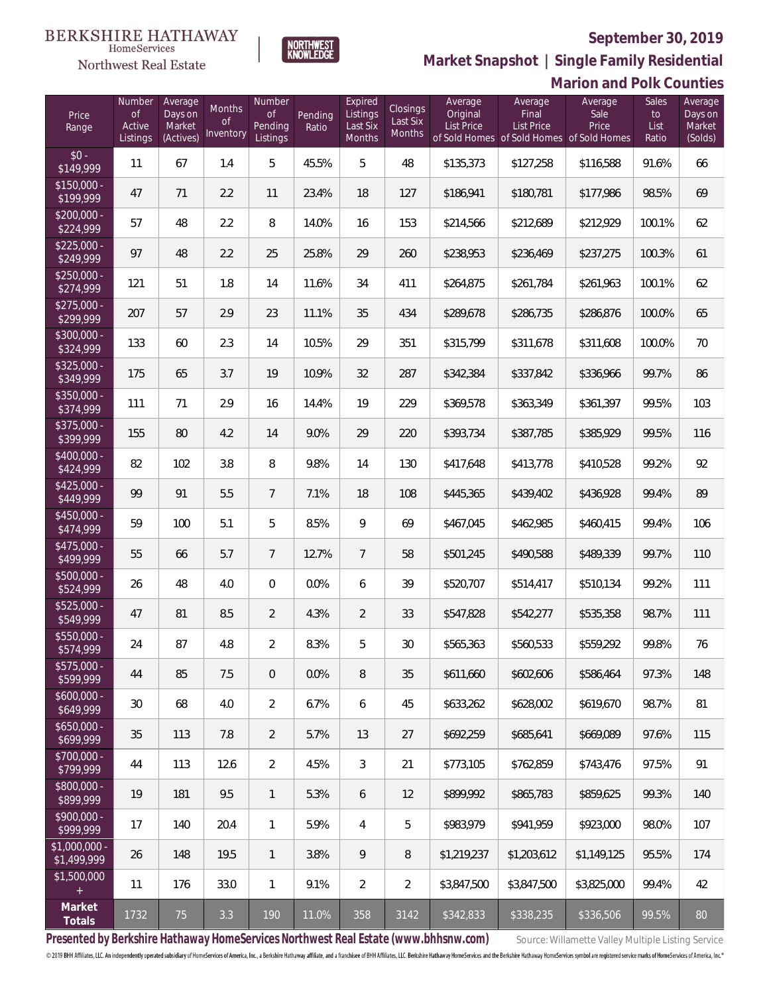

NORTHWEST<br>KNOWLFDGF

Northwest Real Estate

**Marion and Polk Counties Market Snapshot | Single Family Residential**

| Price<br>Range                | Number<br><b>of</b><br>Active<br>Listings | Average<br>Days on<br>Market<br>(Actives) | Months<br>Οf<br>Inventory | Number<br>Οf<br>Pending<br>Listings | Pending<br>Ratio | Expired<br>Listings<br>Last Six<br>Months | Closings<br>Last Six<br>Months | Average<br>Original<br><b>List Price</b> | Average<br>Final<br><b>List Price</b><br>of Sold Homes of Sold Homes of Sold Homes | Average<br>Sale<br>Price | Sales<br>to<br>List<br>Ratio | Average<br>Days on<br>Market<br>(Solds) |
|-------------------------------|-------------------------------------------|-------------------------------------------|---------------------------|-------------------------------------|------------------|-------------------------------------------|--------------------------------|------------------------------------------|------------------------------------------------------------------------------------|--------------------------|------------------------------|-----------------------------------------|
| $$0 -$<br>\$149,999           | 11                                        | 67                                        | 1.4                       | 5                                   | 45.5%            | 5                                         | 48                             | \$135,373                                | \$127,258                                                                          | \$116,588                | 91.6%                        | 66                                      |
| $$150,000 -$<br>\$199,999     | 47                                        | 71                                        | 2.2                       | 11                                  | 23.4%            | 18                                        | 127                            | \$186,941                                | \$180,781                                                                          | \$177,986                | 98.5%                        | 69                                      |
| $$200,000 -$<br>\$224,999     | 57                                        | 48                                        | 2.2                       | 8                                   | 14.0%            | 16                                        | 153                            | \$214,566                                | \$212,689                                                                          | \$212,929                | 100.1%                       | 62                                      |
| $$225,000 -$<br>\$249,999     | 97                                        | 48                                        | 2.2                       | 25                                  | 25.8%            | 29                                        | 260                            | \$238,953                                | \$236,469                                                                          | \$237,275                | 100.3%                       | 61                                      |
| $$250,000 -$<br>\$274,999     | 121                                       | 51                                        | 1.8                       | 14                                  | 11.6%            | 34                                        | 411                            | \$264,875                                | \$261,784                                                                          | \$261,963                | 100.1%                       | 62                                      |
| $$275,000 -$<br>\$299,999     | 207                                       | 57                                        | 2.9                       | 23                                  | 11.1%            | 35                                        | 434                            | \$289,678                                | \$286,735                                                                          | \$286,876                | 100.0%                       | 65                                      |
| \$300,000 -<br>\$324,999      | 133                                       | 60                                        | 2.3                       | 14                                  | 10.5%            | 29                                        | 351                            | \$315,799                                | \$311,678                                                                          | \$311,608                | 100.0%                       | 70                                      |
| $$325,000 -$<br>\$349,999     | 175                                       | 65                                        | 3.7                       | 19                                  | 10.9%            | 32                                        | 287                            | \$342,384                                | \$337,842                                                                          | \$336,966                | 99.7%                        | 86                                      |
| \$350,000 -<br>\$374,999      | 111                                       | 71                                        | 2.9                       | 16                                  | 14.4%            | 19                                        | 229                            | \$369,578                                | \$363,349                                                                          | \$361,397                | 99.5%                        | 103                                     |
| \$375,000 -<br>\$399,999      | 155                                       | 80                                        | 4.2                       | 14                                  | 9.0%             | 29                                        | 220                            | \$393,734                                | \$387,785                                                                          | \$385,929                | 99.5%                        | 116                                     |
| \$400,000 -<br>\$424,999      | 82                                        | 102                                       | 3.8                       | 8                                   | 9.8%             | 14                                        | 130                            | \$417,648                                | \$413,778                                                                          | \$410,528                | 99.2%                        | 92                                      |
| $$425,000 -$<br>\$449,999     | 99                                        | 91                                        | 5.5                       | $\overline{7}$                      | 7.1%             | 18                                        | 108                            | \$445,365                                | \$439,402                                                                          | \$436,928                | 99.4%                        | 89                                      |
| $$450,000 -$<br>\$474,999     | 59                                        | 100                                       | 5.1                       | 5                                   | 8.5%             | 9                                         | 69                             | \$467,045                                | \$462,985                                                                          | \$460,415                | 99.4%                        | 106                                     |
| $$475,000 -$<br>\$499,999     | 55                                        | 66                                        | 5.7                       | 7                                   | 12.7%            | $\overline{7}$                            | 58                             | \$501,245                                | \$490,588                                                                          | \$489,339                | 99.7%                        | 110                                     |
| $$500,000 -$<br>\$524,999     | 26                                        | 48                                        | 4.0                       | $\overline{0}$                      | 0.0%             | 6                                         | 39                             | \$520,707                                | \$514,417                                                                          | \$510,134                | 99.2%                        | 111                                     |
| $$525,000 -$<br>\$549,999     | 47                                        | 81                                        | 8.5                       | $\overline{2}$                      | 4.3%             | $\overline{2}$                            | 33                             | \$547,828                                | \$542,277                                                                          | \$535,358                | 98.7%                        | 111                                     |
| \$550,000 -<br>\$574,999      | 24                                        | 87                                        | 4.8                       | $\overline{2}$                      | 8.3%             | 5                                         | 30                             | \$565,363                                | \$560,533                                                                          | \$559,292                | 99.8%                        | 76                                      |
| \$575,000 -<br>\$599,999      | 44                                        | 85                                        | 7.5                       | $\overline{0}$                      | 0.0%             | 8                                         | 35                             | \$611,660                                | \$602,606                                                                          | \$586,464                | 97.3%                        | 148                                     |
| $$600.000 -$<br>\$649,999     | 30                                        | 68                                        | 4.0                       | $\overline{2}$                      | 6.7%             | 6                                         | 45                             | \$633,262                                | \$628,002                                                                          | \$619,670                | 98.7%                        | 81                                      |
| $$650,000 -$<br>\$699,999     | 35                                        | 113                                       | 7.8                       | $\overline{2}$                      | 5.7%             | 13                                        | 27                             | \$692,259                                | \$685,641                                                                          | \$669,089                | 97.6%                        | 115                                     |
| $$700,000 -$<br>\$799,999     | 44                                        | 113                                       | 12.6                      | $\overline{2}$                      | 4.5%             | 3                                         | 21                             | \$773,105                                | \$762,859                                                                          | \$743.476                | 97.5%                        | 91                                      |
| \$800,000 -<br>\$899,999      | 19                                        | 181                                       | 9.5                       | $\mathbf{1}$                        | 5.3%             | 6                                         | 12                             | \$899,992                                | \$865,783                                                                          | \$859,625                | 99.3%                        | 140                                     |
| \$900.000 -<br>\$999,999      | 17                                        | 140                                       | 20.4                      | $\mathbf{1}$                        | 5.9%             | 4                                         | 5                              | \$983,979                                | \$941,959                                                                          | \$923,000                | 98.0%                        | 107                                     |
| $$1,000,000$ -<br>\$1,499,999 | 26                                        | 148                                       | 19.5                      | $\mathbf{1}$                        | 3.8%             | 9                                         | 8                              | \$1,219,237                              | \$1,203,612                                                                        | \$1,149,125              | 95.5%                        | 174                                     |
| \$1,500,000                   | 11                                        | 176                                       | 33.0                      | $\mathbf{1}$                        | 9.1%             | $\overline{2}$                            | $\overline{2}$                 | \$3,847,500                              | \$3,847,500                                                                        | \$3,825,000              | 99.4%                        | 42                                      |
| Market<br>Totals              | 1732                                      | 75                                        | 3.3                       | 190                                 | 11.0%            | 358                                       | 3142                           | \$342,833                                | \$338,235                                                                          | \$336,506                | 99.5%                        | 80                                      |

Presented by Berkshire Hathaway HomeServices Northwest Real Estate (www.bhhsnw.com) source: Willamette Valley Multiple Listing Service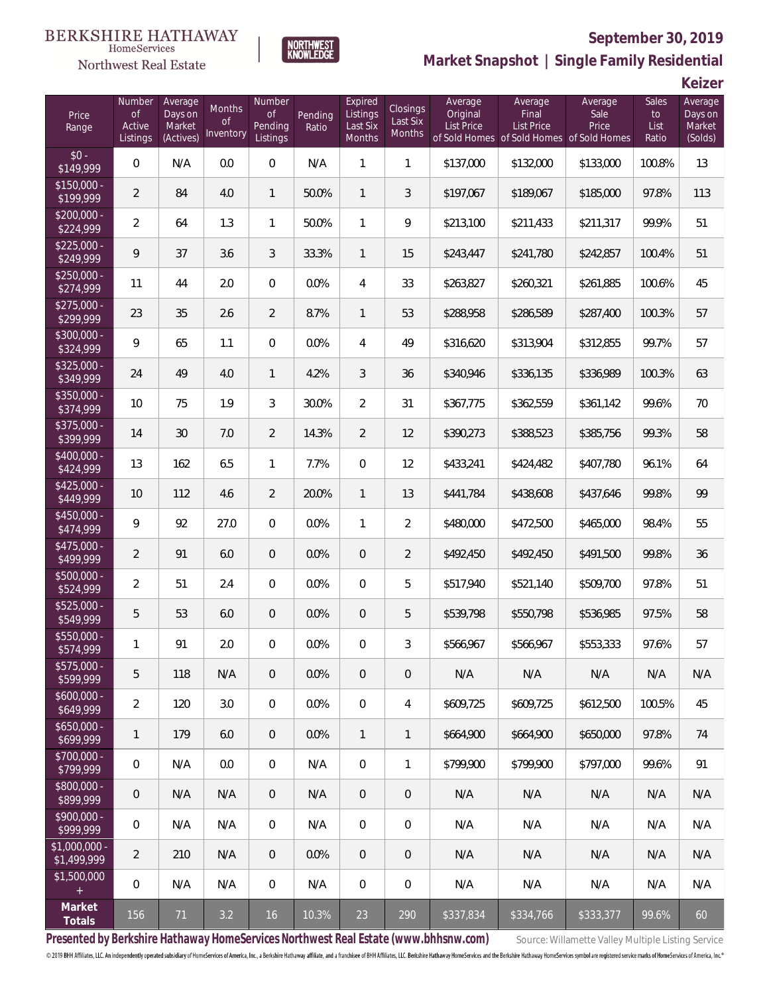#### BERKSHIRE HATHAWAY HomeServices

## Northwest Real Estate



# **September 30, 2019**

**Market Snapshot | Single Family Residential**

**Keizer**

| Price<br>Range                | Number<br>of<br>Active<br>Listings | Average<br>Days on<br>Market<br>(Actives) | <b>Months</b><br><b>of</b><br>Inventory | Number<br><b>of</b><br>Pending<br>Listings | Pending<br>Ratio | Expired<br>Listings<br>Last Six<br>Months | Closings<br>Last Six<br>Months | Average<br>Original<br>List Price | Average<br>Final<br>List Price<br>of Sold Homes of Sold Homes | Average<br>Sale<br>Price<br>of Sold Homes | Sales<br>to<br>List<br>Ratio | Average<br>Days on<br>Market<br>(Solds) |
|-------------------------------|------------------------------------|-------------------------------------------|-----------------------------------------|--------------------------------------------|------------------|-------------------------------------------|--------------------------------|-----------------------------------|---------------------------------------------------------------|-------------------------------------------|------------------------------|-----------------------------------------|
| $$0 -$<br>\$149,999           | $\boldsymbol{0}$                   | N/A                                       | 0.0                                     | $\mathbf 0$                                | N/A              | $\mathbf{1}$                              | 1                              | \$137,000                         | \$132,000                                                     | \$133,000                                 | 100.8%                       | 13                                      |
| $$150,000 -$<br>\$199,999     | $\overline{2}$                     | 84                                        | 4.0                                     | $\mathbf{1}$                               | 50.0%            | $\mathbf{1}$                              | $\mathfrak{Z}$                 | \$197,067                         | \$189,067                                                     | \$185,000                                 | 97.8%                        | 113                                     |
| $$200,000 -$<br>\$224,999     | $\overline{2}$                     | 64                                        | 1.3                                     | $\mathbf{1}$                               | 50.0%            | $\mathbf{1}$                              | 9                              | \$213,100                         | \$211,433                                                     | \$211,317                                 | 99.9%                        | 51                                      |
| $$225,000 -$<br>\$249,999     | 9                                  | 37                                        | 3.6                                     | 3                                          | 33.3%            | $\mathbf{1}$                              | 15                             | \$243,447                         | \$241,780                                                     | \$242,857                                 | 100.4%                       | 51                                      |
| $$250,000 -$<br>\$274,999     | 11                                 | 44                                        | 2.0                                     | $\overline{0}$                             | 0.0%             | $\overline{4}$                            | 33                             | \$263,827                         | \$260,321                                                     | \$261,885                                 | 100.6%                       | 45                                      |
| $$275,000 -$<br>\$299,999     | 23                                 | 35                                        | 2.6                                     | $\overline{2}$                             | 8.7%             | $\mathbf{1}$                              | 53                             | \$288,958                         | \$286,589                                                     | \$287,400                                 | 100.3%                       | 57                                      |
| $$300,000 -$<br>\$324,999     | 9                                  | 65                                        | 1.1                                     | $\overline{0}$                             | 0.0%             | $\overline{4}$                            | 49                             | \$316,620                         | \$313,904                                                     | \$312,855                                 | 99.7%                        | 57                                      |
| $$325,000 -$<br>\$349,999     | 24                                 | 49                                        | 4.0                                     | $\mathbf{1}$                               | 4.2%             | 3                                         | 36                             | \$340,946                         | \$336,135                                                     | \$336,989                                 | 100.3%                       | 63                                      |
| $$350,000 -$<br>\$374,999     | 10                                 | 75                                        | 1.9                                     | 3                                          | 30.0%            | $\overline{2}$                            | 31                             | \$367,775                         | \$362,559                                                     | \$361,142                                 | 99.6%                        | 70                                      |
| $$375,000 -$<br>\$399,999     | 14                                 | 30                                        | 7.0                                     | $\overline{2}$                             | 14.3%            | $\overline{2}$                            | 12                             | \$390,273                         | \$388,523                                                     | \$385,756                                 | 99.3%                        | 58                                      |
| $$400,000 -$<br>\$424,999     | 13                                 | 162                                       | 6.5                                     | $\mathbf{1}$                               | 7.7%             | $\mathbf 0$                               | 12                             | \$433,241                         | \$424,482                                                     | \$407,780                                 | 96.1%                        | 64                                      |
| $$425,000 -$<br>\$449,999     | 10                                 | 112                                       | 4.6                                     | $\overline{2}$                             | 20.0%            | $\mathbf{1}$                              | 13                             | \$441,784                         | \$438,608                                                     | \$437,646                                 | 99.8%                        | 99                                      |
| $$450,000 -$<br>\$474,999     | 9                                  | 92                                        | 27.0                                    | $\overline{0}$                             | 0.0%             | 1                                         | $\overline{2}$                 | \$480,000                         | \$472,500                                                     | \$465,000                                 | 98.4%                        | 55                                      |
| $$475,000 -$<br>\$499,999     | $\overline{2}$                     | 91                                        | 6.0                                     | $\mathbf 0$                                | 0.0%             | $\mathbf 0$                               | $\overline{2}$                 | \$492,450                         | \$492,450                                                     | \$491,500                                 | 99.8%                        | 36                                      |
| $$500,000 -$<br>\$524,999     | $\overline{2}$                     | 51                                        | 2.4                                     | $\overline{0}$                             | 0.0%             | $\overline{0}$                            | 5                              | \$517,940                         | \$521,140                                                     | \$509,700                                 | 97.8%                        | 51                                      |
| \$525,000 -<br>\$549,999      | 5                                  | 53                                        | 6.0                                     | $\overline{0}$                             | 0.0%             | 0                                         | 5                              | \$539,798                         | \$550,798                                                     | \$536,985                                 | 97.5%                        | 58                                      |
| \$550,000 -<br>\$574,999      | 1                                  | 91                                        | 2.0                                     | 0                                          | 0.0%             | 0                                         | 3                              | \$566,967                         | \$566,967                                                     | \$553,333                                 | 97.6%                        | 57                                      |
| \$575,000 -<br>\$599,999      | 5                                  | 118                                       | N/A                                     | $\mathbf 0$                                | 0.0%             | $\overline{0}$                            | $\mathbf 0$                    | N/A                               | N/A                                                           | N/A                                       | N/A                          | N/A                                     |
| $$600,000 -$<br>\$649,999     | $\overline{2}$                     | 120                                       | 3.0                                     | $\mathbf 0$                                | 0.0%             | $\overline{0}$                            | $\overline{4}$                 | \$609,725                         | \$609,725                                                     | \$612,500                                 | 100.5%                       | 45                                      |
| $$650,000 -$<br>\$699,999     | 1                                  | 179                                       | 6.0                                     | $\mathbf 0$                                | 0.0%             | $\mathbf{1}$                              | $\mathbf{1}$                   | \$664,900                         | \$664,900                                                     | \$650,000                                 | 97.8%                        | 74                                      |
| \$700,000 -<br>\$799,999      | $\boldsymbol{0}$                   | N/A                                       | 0.0                                     | $\mathbf 0$                                | N/A              | $\mathbf 0$                               | $\mathbf{1}$                   | \$799.900                         | \$799,900                                                     | \$797,000                                 | 99.6%                        | 91                                      |
| \$800,000 -<br>\$899,999      | 0                                  | N/A                                       | N/A                                     | $\mathbf 0$                                | N/A              | $\mathbf 0$                               | $\sqrt{2}$                     | N/A                               | N/A                                                           | N/A                                       | N/A                          | N/A                                     |
| \$900,000 -<br>\$999,999      | $\mathsf{O}\xspace$                | N/A                                       | N/A                                     | $\overline{0}$                             | N/A              | $\mathbf{0}$                              | $\mathbf 0$                    | N/A                               | N/A                                                           | N/A                                       | N/A                          | N/A                                     |
| $$1,000,000 -$<br>\$1,499,999 | $\overline{2}$                     | 210                                       | N/A                                     | $\mathbf 0$                                | 0.0%             | $\overline{0}$                            | $\theta$                       | N/A                               | N/A                                                           | N/A                                       | N/A                          | N/A                                     |
| \$1,500,000<br>$\pm$          | 0                                  | N/A                                       | N/A                                     | $\mathbf 0$                                | N/A              | $\mathbf 0$                               | $\mathbf 0$                    | N/A                               | N/A                                                           | N/A                                       | N/A                          | N/A                                     |
| Market<br>Totals              | 156                                | 71                                        | 3.2                                     | 16                                         | 10.3%            | 23                                        | 290                            | \$337,834                         | \$334,766                                                     | \$333,377                                 | 99.6%                        | 60                                      |

Presented by Berkshire Hathaway HomeServices Northwest Real Estate (www.bhhsnw.com) source: Willamette Valley Multiple Listing Service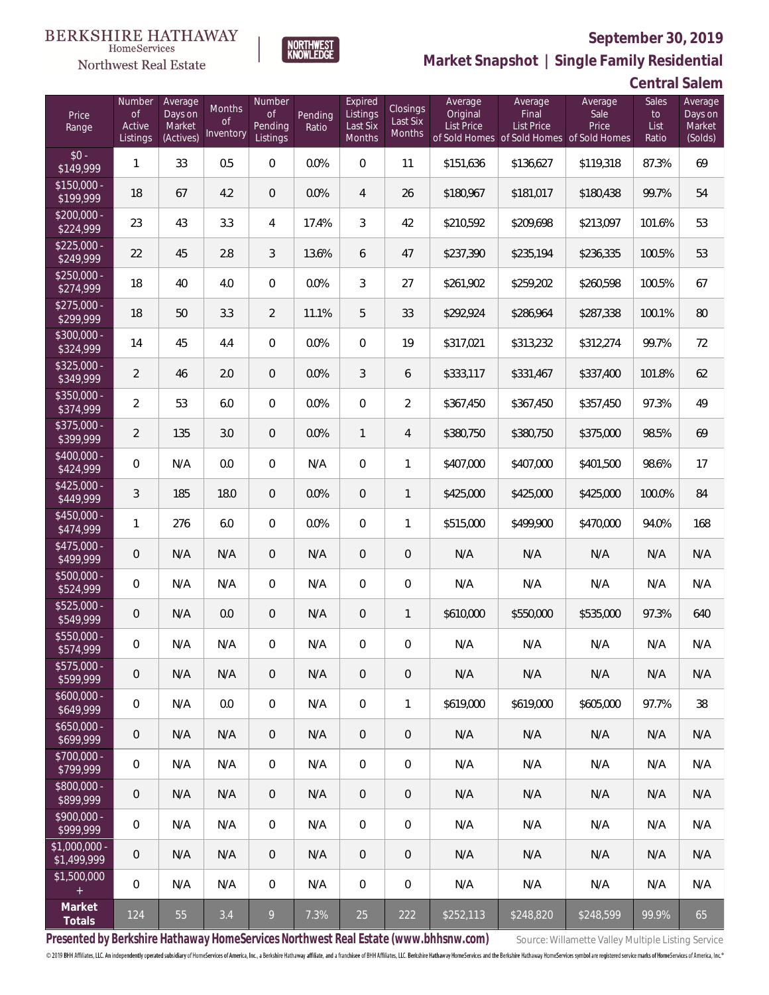

**NORTHWEST**<br>KNOWLEDGE

Northwest Real Estate

**Market Snapshot | Single Family Residential**

**Central Salem**

| Price<br>Range                | Number<br><b>of</b><br>Active<br>Listings | Average<br>Days on<br>Market<br>(Actives) | <b>Months</b><br>Οf<br>Inventory | Number<br><b>of</b><br>Pending<br>Listings | Pending<br>Ratio | Expired<br>Listings<br>Last Six<br>Months | <b>Closings</b><br>Last Six<br>Months | Average<br>Original<br><b>List Price</b><br>of Sold Homes | Average<br>Final<br><b>List Price</b> | Average<br>Sale<br>Price<br>of Sold Homes of Sold Homes | Sales<br>to<br>List<br>Ratio | Average<br>Days on<br>Market<br>(Solds) |
|-------------------------------|-------------------------------------------|-------------------------------------------|----------------------------------|--------------------------------------------|------------------|-------------------------------------------|---------------------------------------|-----------------------------------------------------------|---------------------------------------|---------------------------------------------------------|------------------------------|-----------------------------------------|
| $$0 -$<br>\$149,999           | 1                                         | 33                                        | 0.5                              | 0                                          | 0.0%             | $\overline{0}$                            | 11                                    | \$151,636                                                 | \$136,627                             | \$119,318                                               | 87.3%                        | 69                                      |
| $$150,000 -$<br>\$199,999     | 18                                        | 67                                        | 4.2                              | $\overline{0}$                             | 0.0%             | $\overline{4}$                            | 26                                    | \$180,967                                                 | \$181,017                             | \$180,438                                               | 99.7%                        | 54                                      |
| $$200,000 -$<br>\$224,999     | 23                                        | 43                                        | 3.3                              | 4                                          | 17.4%            | 3                                         | 42                                    | \$210,592                                                 | \$209,698                             | \$213,097                                               | 101.6%                       | 53                                      |
| $$225,000 -$<br>\$249,999     | 22                                        | 45                                        | 2.8                              | 3                                          | 13.6%            | 6                                         | 47                                    | \$237,390                                                 | \$235,194                             | \$236,335                                               | 100.5%                       | 53                                      |
| $$250,000 -$<br>\$274,999     | 18                                        | 40                                        | 4.0                              | $\overline{0}$                             | 0.0%             | 3                                         | 27                                    | \$261,902                                                 | \$259,202                             | \$260,598                                               | 100.5%                       | 67                                      |
| $$275,000 -$<br>\$299,999     | 18                                        | 50                                        | 3.3                              | $\overline{2}$                             | 11.1%            | 5                                         | 33                                    | \$292,924                                                 | \$286,964                             | \$287,338                                               | 100.1%                       | 80                                      |
| $$300,000 -$<br>\$324,999     | 14                                        | 45                                        | 4.4                              | $\overline{0}$                             | 0.0%             | $\overline{0}$                            | 19                                    | \$317,021                                                 | \$313,232                             | \$312,274                                               | 99.7%                        | 72                                      |
| $$325,000 -$<br>\$349,999     | $\overline{2}$                            | 46                                        | 2.0                              | $\overline{0}$                             | 0.0%             | 3                                         | 6                                     | \$333,117                                                 | \$331,467                             | \$337,400                                               | 101.8%                       | 62                                      |
| $$350,000 -$<br>\$374,999     | $\overline{2}$                            | 53                                        | 6.0                              | $\overline{0}$                             | 0.0%             | $\overline{0}$                            | $\overline{2}$                        | \$367,450                                                 | \$367,450                             | \$357,450                                               | 97.3%                        | 49                                      |
| $$375,000 -$<br>\$399,999     | $\overline{2}$                            | 135                                       | 3.0                              | $\overline{0}$                             | 0.0%             | $\mathbf{1}$                              | 4                                     | \$380,750                                                 | \$380,750                             | \$375,000                                               | 98.5%                        | 69                                      |
| \$400,000 -<br>\$424,999      | $\boldsymbol{0}$                          | N/A                                       | 0.0                              | $\overline{0}$                             | N/A              | $\overline{0}$                            | $\mathbf{1}$                          | \$407,000                                                 | \$407,000                             | \$401,500                                               | 98.6%                        | 17                                      |
| \$425,000 -<br>\$449,999      | 3                                         | 185                                       | 18.0                             | 0                                          | 0.0%             | $\overline{0}$                            | $\mathbf{1}$                          | \$425,000                                                 | \$425,000                             | \$425,000                                               | 100.0%                       | 84                                      |
| $$450,000 -$<br>\$474,999     | $\mathbf{1}$                              | 276                                       | 6.0                              | 0                                          | 0.0%             | $\overline{0}$                            | $\mathbf{1}$                          | \$515,000                                                 | \$499,900                             | \$470,000                                               | 94.0%                        | 168                                     |
| \$475,000 -<br>\$499,999      | 0                                         | N/A                                       | N/A                              | 0                                          | N/A              | $\overline{0}$                            | $\mathbf 0$                           | N/A                                                       | N/A                                   | N/A                                                     | N/A                          | N/A                                     |
| $$500,000 -$<br>\$524,999     | 0                                         | N/A                                       | N/A                              | 0                                          | N/A              | $\overline{0}$                            | $\boldsymbol{0}$                      | N/A                                                       | N/A                                   | N/A                                                     | N/A                          | N/A                                     |
| $$525,000 -$<br>\$549,999     | 0                                         | N/A                                       | 0.0                              | 0                                          | N/A              | $\overline{0}$                            | $\mathbf{1}$                          | \$610,000                                                 | \$550,000                             | \$535,000                                               | 97.3%                        | 640                                     |
| \$550,000 -<br>\$574,999      | 0                                         | N/A                                       | N/A                              | 0                                          | N/A              | 0                                         | $\boldsymbol{0}$                      | N/A                                                       | N/A                                   | N/A                                                     | N/A                          | N/A                                     |
| $$575,000 -$<br>\$599,999     | $\mathbf 0$                               | N/A                                       | N/A                              | 0                                          | N/A              | 0                                         | 0                                     | N/A                                                       | N/A                                   | N/A                                                     | N/A                          | N/A                                     |
| $$600,000 -$<br>\$649,999     | 0                                         | N/A                                       | 0.0                              | $\overline{0}$                             | N/A              | $\mathbf 0$                               | $\mathbf{1}$                          | \$619,000                                                 | \$619,000                             | \$605,000                                               | 97.7%                        | 38                                      |
| $$650,000 -$<br>\$699,999     | $\mathsf{O}\xspace$                       | N/A                                       | N/A                              | $\overline{0}$                             | N/A              | $\overline{0}$                            | $\overline{0}$                        | N/A                                                       | N/A                                   | N/A                                                     | N/A                          | N/A                                     |
| \$700,000 -<br>\$799,999      | 0                                         | N/A                                       | N/A                              | $\overline{0}$                             | N/A              | $\mathbf 0$                               | $\boldsymbol{0}$                      | N/A                                                       | N/A                                   | N/A                                                     | N/A                          | N/A                                     |
| \$800,000 -<br>\$899,999      | $\mathbf 0$                               | N/A                                       | N/A                              | $\overline{0}$                             | N/A              | $\overline{0}$                            | $\overline{0}$                        | N/A                                                       | N/A                                   | N/A                                                     | N/A                          | N/A                                     |
| \$900,000 -<br>\$999,999      | 0                                         | N/A                                       | N/A                              | $\overline{0}$                             | N/A              | $\mathbf 0$                               | 0                                     | N/A                                                       | N/A                                   | N/A                                                     | N/A                          | N/A                                     |
| $$1,000,000$ -<br>\$1,499,999 | $\mathbf 0$                               | N/A                                       | N/A                              | $\overline{0}$                             | N/A              | $\overline{0}$                            | 0                                     | N/A                                                       | N/A                                   | N/A                                                     | N/A                          | N/A                                     |
| \$1,500,000<br>$+$            | 0                                         | N/A                                       | N/A                              | $\mathbf 0$                                | N/A              | $\mathbf 0$                               | 0                                     | N/A                                                       | N/A                                   | N/A                                                     | N/A                          | N/A                                     |
| Market<br>Totals              | 124                                       | 55                                        | 3.4                              | 9                                          | 7.3%             | 25                                        | 222                                   | \$252,113                                                 | \$248,820                             | \$248,599                                               | 99.9%                        | 65                                      |

Presented by Berkshire Hathaway HomeServices Northwest Real Estate (www.bhhsnw.com) source: Willamette Valley Multiple Listing Service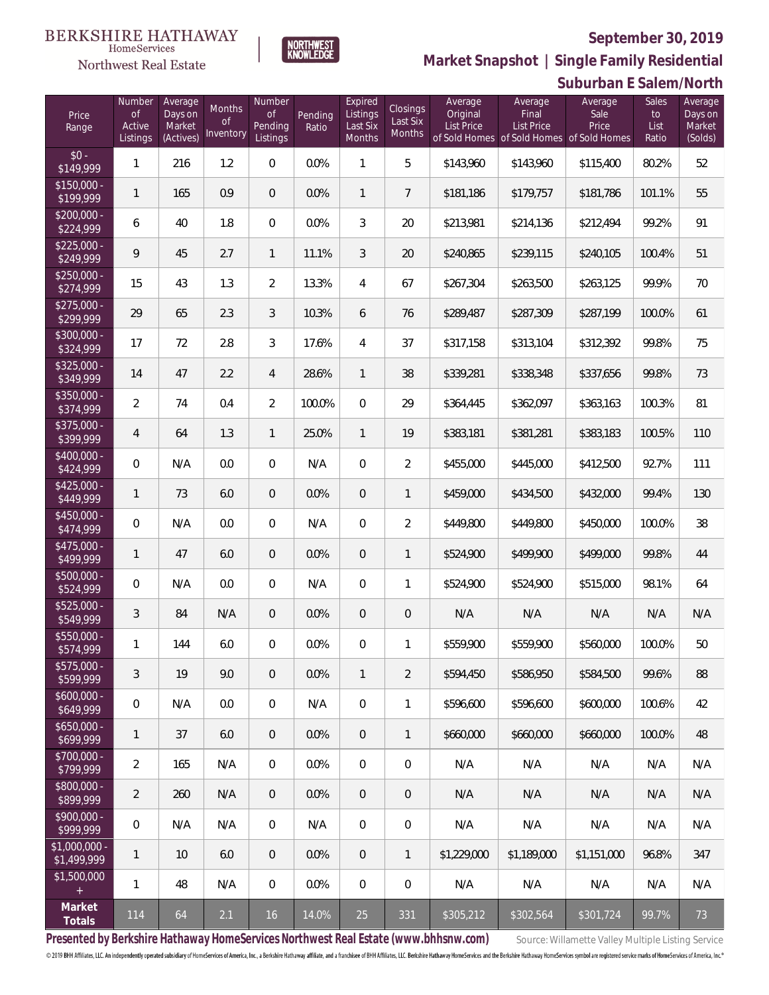**Suburban E Salem/North**



Number

NORTHWEST<br>KNOWLFDGE

Expired

Average

Northwest Real Estate

**Market Snapshot | Single Family Residential**

Average

Average

| Price<br>Range               | Number<br><b>of</b><br>Active<br>Listings | Average<br>Days on<br>Market<br>(Actives) | Months<br><b>of</b><br>Inventory | <b>Number</b><br>of<br>Pending<br>Listings | Pending<br>Ratio | Expired<br>Listings<br>Last Six<br>Months | <b>Closings</b><br>Last Six<br><b>Months</b> | Average<br>Original<br><b>List Price</b> | Average<br>Final<br>List Price<br>of Sold Homes of Sold Homes of Sold Homes | Average<br>Sale<br>Price | Sales<br>to<br>List<br>Ratio | Average<br>Days on<br>Market<br>(Solds) |
|------------------------------|-------------------------------------------|-------------------------------------------|----------------------------------|--------------------------------------------|------------------|-------------------------------------------|----------------------------------------------|------------------------------------------|-----------------------------------------------------------------------------|--------------------------|------------------------------|-----------------------------------------|
| $$0 -$<br>\$149,999          | 1                                         | 216                                       | 1.2                              | 0                                          | 0.0%             | 1                                         | 5                                            | \$143,960                                | \$143,960                                                                   | \$115,400                | 80.2%                        | 52                                      |
| $$150,000 -$<br>\$199,999    | 1                                         | 165                                       | 0.9                              | $\theta$                                   | 0.0%             | 1                                         | $\overline{7}$                               | \$181,186                                | \$179,757                                                                   | \$181,786                | 101.1%                       | 55                                      |
| $$200,000 -$<br>\$224,999    | 6                                         | 40                                        | 1.8                              | 0                                          | 0.0%             | 3                                         | 20                                           | \$213,981                                | \$214,136                                                                   | \$212,494                | 99.2%                        | 91                                      |
| $$225,000 -$<br>\$249,999    | 9                                         | 45                                        | 2.7                              | 1                                          | 11.1%            | 3                                         | 20                                           | \$240,865                                | \$239,115                                                                   | \$240,105                | 100.4%                       | 51                                      |
| $$250,000 -$<br>\$274,999    | 15                                        | 43                                        | 1.3                              | $\overline{2}$                             | 13.3%            | $\overline{4}$                            | 67                                           | \$267,304                                | \$263,500                                                                   | \$263,125                | 99.9%                        | 70                                      |
| $$275,000 -$<br>\$299,999    | 29                                        | 65                                        | 2.3                              | 3                                          | 10.3%            | 6                                         | 76                                           | \$289,487                                | \$287,309                                                                   | \$287,199                | 100.0%                       | 61                                      |
| \$300,000 -<br>\$324,999     | 17                                        | 72                                        | 2.8                              | 3                                          | 17.6%            | 4                                         | 37                                           | \$317,158                                | \$313,104                                                                   | \$312,392                | 99.8%                        | 75                                      |
| \$325,000 -<br>\$349,999     | 14                                        | 47                                        | 2.2                              | 4                                          | 28.6%            | $\mathbf{1}$                              | 38                                           | \$339,281                                | \$338,348                                                                   | \$337,656                | 99.8%                        | 73                                      |
| $$350,000 -$<br>\$374,999    | $\overline{2}$                            | 74                                        | 0.4                              | $\overline{2}$                             | 100.0%           | $\overline{0}$                            | 29                                           | \$364,445                                | \$362,097                                                                   | \$363,163                | 100.3%                       | 81                                      |
| $$375,000 -$<br>\$399,999    | $\overline{4}$                            | 64                                        | 1.3                              | 1                                          | 25.0%            | $\mathbf{1}$                              | 19                                           | \$383,181                                | \$381,281                                                                   | \$383,183                | 100.5%                       | 110                                     |
| \$400,000 -<br>\$424,999     | $\overline{0}$                            | N/A                                       | 0.0                              | 0                                          | N/A              | $\mathbf 0$                               | $\overline{2}$                               | \$455,000                                | \$445,000                                                                   | \$412,500                | 92.7%                        | 111                                     |
| $$425,000 -$<br>\$449,999    | 1                                         | 73                                        | 6.0                              | $\mathbf 0$                                | 0.0%             | $\mathbf 0$                               | $\mathbf{1}$                                 | \$459,000                                | \$434,500                                                                   | \$432,000                | 99.4%                        | 130                                     |
| $$450,000 -$<br>\$474,999    | $\overline{0}$                            | N/A                                       | 0.0                              | 0                                          | N/A              | $\mathbf 0$                               | $\overline{2}$                               | \$449,800                                | \$449,800                                                                   | \$450,000                | 100.0%                       | 38                                      |
| $$475,000 -$<br>\$499,999    | 1                                         | 47                                        | 6.0                              | $\mathbf 0$                                | 0.0%             | $\mathbf 0$                               | $\mathbf{1}$                                 | \$524,900                                | \$499,900                                                                   | \$499,000                | 99.8%                        | 44                                      |
| \$500,000 -<br>\$524,999     | $\overline{0}$                            | N/A                                       | 0.0                              | 0                                          | N/A              | $\mathbf 0$                               | $\mathbf{1}$                                 | \$524,900                                | \$524,900                                                                   | \$515,000                | 98.1%                        | 64                                      |
| $$525,000 -$<br>\$549,999    | 3                                         | 84                                        | N/A                              | $\theta$                                   | 0.0%             | $\mathbf 0$                               | $\mathbf 0$                                  | N/A                                      | N/A                                                                         | N/A                      | N/A                          | N/A                                     |
| \$550,000 -<br>\$574,999     | 1                                         | 144                                       | 6.0                              | 0                                          | 0.0%             | $\mathbf 0$                               | $\mathbf{1}$                                 | \$559,900                                | \$559,900                                                                   | \$560,000                | 100.0%                       | 50                                      |
| $$575,000 -$<br>\$599,999    | $\sqrt{3}$                                | 19                                        | 9.0                              | $\theta$                                   | 0.0%             | $\mathbf{1}$                              | $\overline{2}$                               | \$594,450                                | \$586,950                                                                   | \$584,500                | 99.6%                        | 88                                      |
| $$600,000 -$<br>\$649,999    | $\mathbf 0$                               | N/A                                       | 0.0                              | 0                                          | N/A              | $\mathbf 0$                               | $\mathbf{1}$                                 | \$596,600                                | \$596,600                                                                   | \$600,000                | 100.6%                       | 42                                      |
| $$650,000 -$<br>\$699,999    | 1                                         | 37                                        | 6.0                              | 0                                          | 0.0%             | $\theta$                                  | $\mathbf{1}$                                 | \$660,000                                | \$660,000                                                                   | \$660,000                | 100.0%                       | 48                                      |
| \$700,000 -<br>\$799,999     | $\overline{2}$                            | 165                                       | N/A                              | 0                                          | 0.0%             | $\mathbf 0$                               | $\mathbf 0$                                  | N/A                                      | N/A                                                                         | N/A                      | N/A                          | N/A                                     |
| \$800,000 -<br>\$899,999     | $\overline{2}$                            | 260                                       | N/A                              | $\theta$                                   | 0.0%             | $\theta$                                  | $\mathbf 0$                                  | N/A                                      | N/A                                                                         | N/A                      | N/A                          | N/A                                     |
| \$900,000 -<br>\$999,999     | $\mathbf 0$                               | N/A                                       | N/A                              | 0                                          | N/A              | $\mathbf 0$                               | $\mathbf 0$                                  | N/A                                      | N/A                                                                         | N/A                      | N/A                          | N/A                                     |
| \$1,000,000 -<br>\$1,499,999 | $\mathbf{1}$                              | 10                                        | 6.0                              | 0                                          | 0.0%             | $\mathbf 0$                               | $\mathbf{1}$                                 | \$1,229,000                              | \$1,189,000                                                                 | \$1,151,000              | 96.8%                        | 347                                     |
| \$1,500,000<br>$+$           | $\mathbf{1}$                              | 48                                        | N/A                              | 0                                          | 0.0%             | $\mathbf 0$                               | $\mathbf 0$                                  | N/A                                      | N/A                                                                         | N/A                      | N/A                          | N/A                                     |
| Market<br>Totals             | 114                                       | 64                                        | 2.1                              | 16                                         | 14.0%            | 25                                        | 331                                          | \$305,212                                | \$302,564                                                                   | $\sqrt{$301,724}$        | 99.7%                        | 73                                      |

Presented by Berkshire Hathaway HomeServices Northwest Real Estate (www.bhhsnw.com) source: Willamette Valley Multiple Listing Service

 $\frac{1}{91}$ 

 $\overline{\$1}$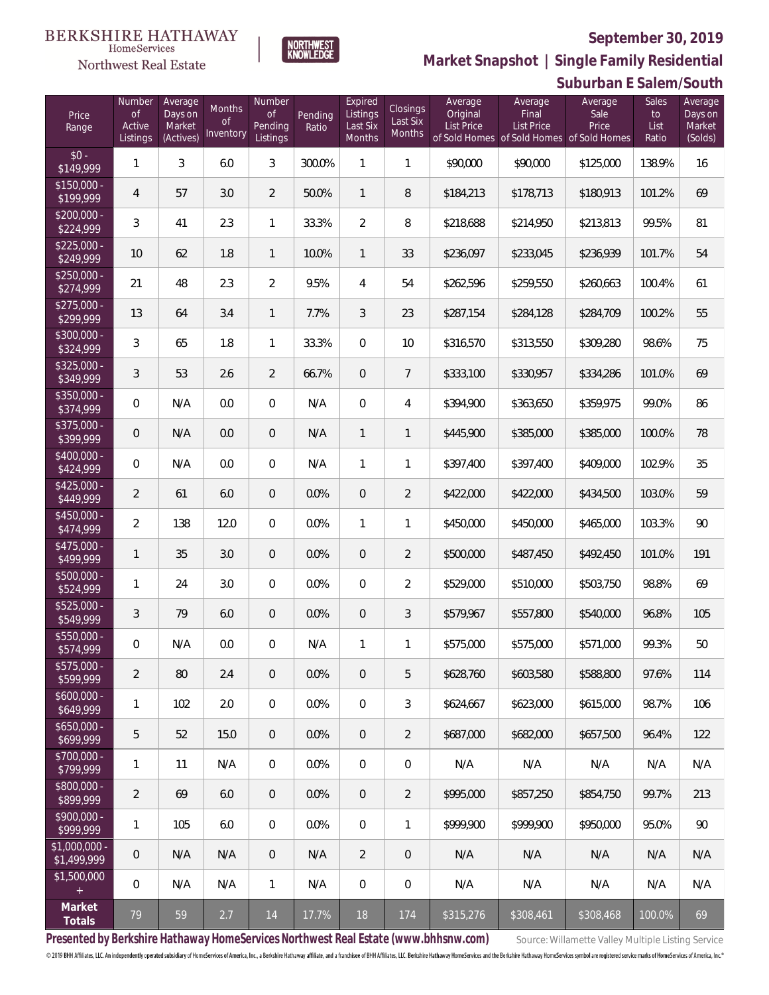

NORTHWEST<br>KNOWLEDGE

Northwest Real Estate

**Market Snapshot | Single Family Residential**

|                               |                                           |                                           |                                      |                                     |                  |                                           |                                |                                          |                                                                                    | Suburban E Salem/South   |                              |                                         |
|-------------------------------|-------------------------------------------|-------------------------------------------|--------------------------------------|-------------------------------------|------------------|-------------------------------------------|--------------------------------|------------------------------------------|------------------------------------------------------------------------------------|--------------------------|------------------------------|-----------------------------------------|
| Price<br>Range                | Number<br><b>of</b><br>Active<br>Listings | Average<br>Days on<br>Market<br>(Actives) | Months<br><sub>of</sub><br>Inventory | Number<br>0f<br>Pending<br>Listings | Pending<br>Ratio | Expired<br>Listings<br>Last Six<br>Months | Closings<br>Last Six<br>Months | Average<br>Original<br><b>List Price</b> | Average<br>Final<br><b>List Price</b><br>of Sold Homes of Sold Homes of Sold Homes | Average<br>Sale<br>Price | Sales<br>to<br>List<br>Ratio | Average<br>Days on<br>Market<br>(Solds) |
| $$0 -$<br>\$149,999           | $\mathbf{1}$                              | $\mathfrak{Z}$                            | 6.0                                  | $\mathfrak{Z}$                      | 300.0%           | $\mathbf{1}$                              | $\mathbf{1}$                   | \$90,000                                 | \$90,000                                                                           | \$125,000                | 138.9%                       | 16                                      |
| $$150,000 -$<br>\$199,999     | 4                                         | 57                                        | 3.0                                  | $\overline{2}$                      | 50.0%            | $\mathbf{1}$                              | 8                              | \$184,213                                | \$178,713                                                                          | \$180,913                | 101.2%                       | 69                                      |
| $$200,000 -$<br>\$224,999     | $\mathfrak{Z}$                            | 41                                        | 2.3                                  | $\mathbf{1}$                        | 33.3%            | $\overline{2}$                            | 8                              | \$218,688                                | \$214,950                                                                          | \$213,813                | 99.5%                        | 81                                      |
| $$225,000 -$<br>\$249,999     | 10                                        | 62                                        | 1.8                                  | $\mathbf{1}$                        | 10.0%            | $\mathbf{1}$                              | 33                             | \$236,097                                | \$233,045                                                                          | \$236,939                | 101.7%                       | 54                                      |
| $$250,000 -$<br>\$274,999     | 21                                        | 48                                        | 2.3                                  | $\overline{2}$                      | 9.5%             | 4                                         | 54                             | \$262,596                                | \$259,550                                                                          | \$260,663                | 100.4%                       | 61                                      |
| $$275,000 -$<br>\$299,999     | 13                                        | 64                                        | 3.4                                  | $\mathbf{1}$                        | 7.7%             | 3                                         | 23                             | \$287,154                                | \$284,128                                                                          | \$284,709                | 100.2%                       | 55                                      |
| $$300,000 -$<br>\$324,999     | 3                                         | 65                                        | 1.8                                  | $\mathbf{1}$                        | 33.3%            | $\mathbf{0}$                              | 10                             | \$316,570                                | \$313,550                                                                          | \$309,280                | 98.6%                        | 75                                      |
| $$325,000 -$<br>\$349,999     | 3                                         | 53                                        | 2.6                                  | $\overline{2}$                      | 66.7%            | $\overline{0}$                            | $\overline{7}$                 | \$333,100                                | \$330,957                                                                          | \$334,286                | 101.0%                       | 69                                      |
| $$350,000 -$<br>\$374,999     | 0                                         | N/A                                       | 0.0                                  | $\overline{0}$                      | N/A              | 0                                         | 4                              | \$394,900                                | \$363,650                                                                          | \$359,975                | 99.0%                        | 86                                      |
| $$375,000 -$<br>\$399,999     | 0                                         | N/A                                       | 0.0                                  | $\overline{0}$                      | N/A              | $\mathbf{1}$                              | $\mathbf{1}$                   | \$445,900                                | \$385,000                                                                          | \$385,000                | 100.0%                       | 78                                      |
| $$400,000 -$<br>\$424,999     | 0                                         | N/A                                       | 0.0                                  | 0                                   | N/A              | $\mathbf{1}$                              | 1                              | \$397,400                                | \$397,400                                                                          | \$409,000                | 102.9%                       | 35                                      |
| $$425,000 -$<br>\$449,999     | $\overline{2}$                            | 61                                        | 6.0                                  | $\theta$                            | 0.0%             | $\overline{0}$                            | $\overline{2}$                 | \$422,000                                | \$422,000                                                                          | \$434,500                | 103.0%                       | 59                                      |
| $$450,000 -$<br>\$474,999     | $\overline{2}$                            | 138                                       | 12.0                                 | $\overline{0}$                      | 0.0%             | 1                                         | 1                              | \$450,000                                | \$450,000                                                                          | \$465,000                | 103.3%                       | 90                                      |
| $$475,000 -$<br>\$499,999     | 1                                         | 35                                        | 3.0                                  | $\theta$                            | 0.0%             | $\overline{0}$                            | $\overline{2}$                 | \$500,000                                | \$487,450                                                                          | \$492,450                | 101.0%                       | 191                                     |
| $$500,000 -$<br>\$524,999     | 1                                         | 24                                        | 3.0                                  | 0                                   | 0.0%             | 0                                         | $\overline{2}$                 | \$529,000                                | \$510,000                                                                          | \$503,750                | 98.8%                        | 69                                      |
| $$525,000 -$<br>\$549,999     | 3                                         | 79                                        | 6.0                                  | $\theta$                            | 0.0%             | 0                                         | 3                              | \$579,967                                | \$557,800                                                                          | \$540,000                | 96.8%                        | 105                                     |
| \$550,000<br>\$574,999        | 0                                         | N/A                                       | 0.0                                  | $\overline{0}$                      | N/A              | $\mathbf{1}$                              | 1                              | \$575,000                                | \$575,000                                                                          | \$571,000                | 99.3%                        | 50                                      |
| $$575,000 -$<br>\$599,999     | $\overline{2}$                            | 80                                        | 2.4                                  | $\overline{0}$                      | 0.0%             | $\overline{0}$                            | 5                              | \$628,760                                | \$603,580                                                                          | \$588,800                | 97.6%                        | 114                                     |
| $$600,000 -$<br>\$649,999     | 1                                         | 102                                       | 2.0                                  | $\overline{0}$                      | 0.0%             | 0                                         | 3                              | \$624,667                                | \$623,000                                                                          | \$615,000                | 98.7%                        | 106                                     |
| $$650,000 -$<br>\$699,999     | 5                                         | 52                                        | 15.0                                 | $\overline{0}$                      | 0.0%             | $\overline{0}$                            | $\overline{2}$                 | \$687,000                                | \$682,000                                                                          | \$657,500                | 96.4%                        | 122                                     |
| $$700.000 -$<br>\$799,999     | 1                                         | 11                                        | N/A                                  | $\overline{0}$                      | 0.0%             | 0                                         | 0                              | N/A                                      | N/A                                                                                | N/A                      | N/A                          | N/A                                     |
| $$800,000 -$<br>\$899,999     | $\overline{2}$                            | 69                                        | 6.0                                  | $\overline{0}$                      | 0.0%             | $\overline{0}$                            | $\overline{2}$                 | \$995,000                                | \$857,250                                                                          | \$854,750                | 99.7%                        | 213                                     |
| $$900.000 -$<br>\$999,999     | 1                                         | 105                                       | 6.0                                  | $\overline{0}$                      | 0.0%             | 0                                         | 1                              | \$999.900                                | \$999,900                                                                          | \$950,000                | 95.0%                        | 90                                      |
| $$1,000,000$ -<br>\$1,499,999 | 0                                         | N/A                                       | N/A                                  | $\overline{0}$                      | N/A              | $\overline{2}$                            | $\overline{0}$                 | N/A                                      | N/A                                                                                | N/A                      | N/A                          | N/A                                     |
| \$1,500,000<br>$+$            | 0                                         | N/A                                       | N/A                                  | $\mathbf{1}$                        | N/A              | 0                                         | 0                              | N/A                                      | N/A                                                                                | N/A                      | N/A                          | N/A                                     |
| Market<br>Totals              | 79                                        | 59                                        | 2.7                                  | 14                                  | 17.7%            | 18                                        | 174                            | \$315,276                                | \$308,461                                                                          | \$308,468                | 100.0%                       | 69                                      |

Presented by Berkshire Hathaway HomeServices Northwest Real Estate (www.bhhsnw.com) source: Willamette Valley Multiple Listing Service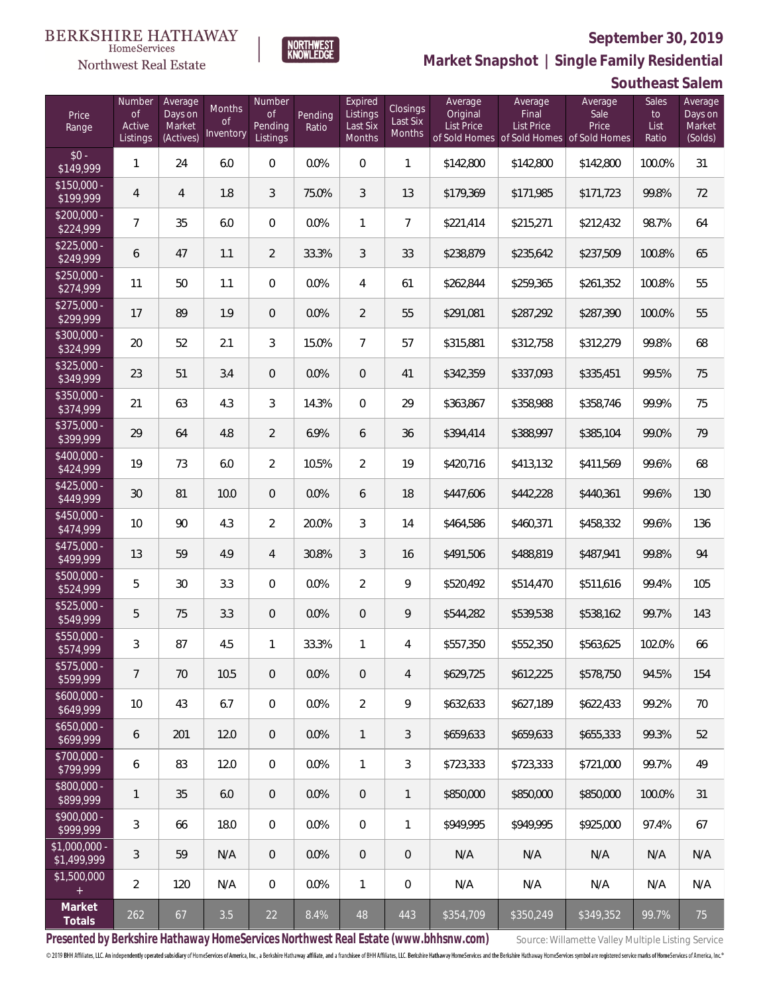

**NORTHWEST**<br>KNOWLEDGE

Northwest Real Estate

**Market Snapshot | Single Family Residential**

### **Southeast Salem**

| Price<br>Range                    | Number<br><b>of</b><br>Active<br>Listings | Average<br>Days on<br>Market<br>(Actives) | Months<br><b>of</b><br>Inventory | Number<br><b>of</b><br>Pending<br>Listings | Pending<br>Ratio | Expired<br>Listings<br>Last Six<br>Months | <b>Closings</b><br>Last Six<br>Months | Average<br>Original<br><b>List Price</b> | Average<br>Final<br><b>List Price</b><br>of Sold Homes of Sold Homes of Sold Homes | Average<br>Sale<br>Price | Sales<br>to<br>List<br>Ratio | Average<br>Days on<br>Market<br>(Solds) |
|-----------------------------------|-------------------------------------------|-------------------------------------------|----------------------------------|--------------------------------------------|------------------|-------------------------------------------|---------------------------------------|------------------------------------------|------------------------------------------------------------------------------------|--------------------------|------------------------------|-----------------------------------------|
| $$0 -$<br>$\sqrt{$149,999}$       | 1                                         | 24                                        | 6.0                              | $\overline{0}$                             | 0.0%             | $\overline{0}$                            | $\mathbf{1}$                          | \$142,800                                | \$142,800                                                                          | \$142,800                | 100.0%                       | 31                                      |
| $$150,000 -$<br>\$199,999         | $\overline{4}$                            | $\overline{4}$                            | 1.8                              | 3                                          | 75.0%            | $\mathfrak{Z}$                            | 13                                    | \$179,369                                | \$171,985                                                                          | \$171,723                | 99.8%                        | 72                                      |
| $$200,000 -$<br>\$224,999         | 7                                         | 35                                        | 6.0                              | $\overline{0}$                             | 0.0%             | $\mathbf{1}$                              | $\overline{7}$                        | \$221,414                                | \$215,271                                                                          | \$212,432                | 98.7%                        | 64                                      |
| $$225,000 -$<br>\$249,999         | 6                                         | 47                                        | 1.1                              | $\overline{2}$                             | 33.3%            | $\mathfrak{Z}$                            | 33                                    | \$238,879                                | \$235,642                                                                          | \$237,509                | 100.8%                       | 65                                      |
| $$250,000 -$<br>\$274,999         | 11                                        | 50                                        | 1.1                              | $\overline{0}$                             | 0.0%             | $\overline{4}$                            | 61                                    | \$262,844                                | \$259,365                                                                          | \$261,352                | 100.8%                       | 55                                      |
| $$275,000 -$<br>\$299,999         | 17                                        | 89                                        | 1.9                              | $\overline{0}$                             | 0.0%             | $\overline{2}$                            | 55                                    | \$291,081                                | \$287,292                                                                          | \$287,390                | 100.0%                       | 55                                      |
| $$300,000 -$<br>\$324,999         | 20                                        | 52                                        | 2.1                              | $\mathfrak{Z}$                             | 15.0%            | $\overline{7}$                            | 57                                    | \$315,881                                | \$312,758                                                                          | \$312,279                | 99.8%                        | 68                                      |
| $$325,000 -$<br>\$349,999         | 23                                        | 51                                        | 3.4                              | $\overline{0}$                             | 0.0%             | $\overline{0}$                            | 41                                    | \$342,359                                | \$337,093                                                                          | \$335,451                | 99.5%                        | 75                                      |
| $$350,000 -$<br>\$374,999         | 21                                        | 63                                        | 4.3                              | 3                                          | 14.3%            | $\Omega$                                  | 29                                    | \$363,867                                | \$358,988                                                                          | \$358,746                | 99.9%                        | 75                                      |
| $$375,000 -$<br>\$399,999         | 29                                        | 64                                        | 4.8                              | $\overline{2}$                             | 6.9%             | 6                                         | 36                                    | \$394,414                                | \$388,997                                                                          | \$385,104                | 99.0%                        | 79                                      |
| $$400,000 -$<br>\$424,999         | 19                                        | 73                                        | 6.0                              | $\overline{2}$                             | 10.5%            | $\overline{2}$                            | 19                                    | \$420,716                                | \$413,132                                                                          | \$411,569                | 99.6%                        | 68                                      |
| $$425,000 -$<br>\$449,999         | 30                                        | 81                                        | 10.0                             | $\overline{0}$                             | 0.0%             | 6                                         | 18                                    | \$447,606                                | \$442,228                                                                          | \$440,361                | 99.6%                        | 130                                     |
| $$450,000 -$<br>\$474,999         | 10                                        | 90                                        | 4.3                              | $\overline{2}$                             | 20.0%            | 3                                         | 14                                    | \$464,586                                | \$460,371                                                                          | \$458,332                | 99.6%                        | 136                                     |
| $$475,000 -$<br>\$499,999         | 13                                        | 59                                        | 4.9                              | $\overline{4}$                             | 30.8%            | $\mathfrak{Z}$                            | 16                                    | \$491,506                                | \$488,819                                                                          | \$487,941                | 99.8%                        | 94                                      |
| $$500,000 -$<br>$\sqrt{$524,999}$ | 5                                         | 30                                        | 3.3                              | $\Omega$                                   | 0.0%             | $\overline{2}$                            | $\overline{9}$                        | \$520,492                                | \$514,470                                                                          | \$511,616                | 99.4%                        | 105                                     |
| $$525,000 -$<br>$\sqrt{$549,999}$ | 5                                         | 75                                        | 3.3                              | $\overline{0}$                             | 0.0%             | $\overline{0}$                            | $\mathsf{Q}$                          | \$544,282                                | \$539,538                                                                          | \$538,162                | 99.7%                        | 143                                     |
| $$550,000 -$<br>\$574,999         | 3                                         | 87                                        | 4.5                              | 1                                          | 33.3%            | $\mathbf{1}$                              | $\overline{4}$                        | \$557,350                                | \$552,350                                                                          | \$563,625                | 102.0%                       | 66                                      |
| $$575,000 -$<br>\$599,999         | $\overline{7}$                            | 70                                        | 10.5                             | $\overline{0}$                             | 0.0%             | $\sqrt{0}$                                | $\overline{4}$                        | \$629,725                                | \$612,225                                                                          | \$578,750                | 94.5%                        | 154                                     |
| $$600,000 -$<br>\$649,999         | 10                                        | 43                                        | 6.7                              | $\overline{0}$                             | 0.0%             | $\overline{2}$                            | 9                                     | \$632,633                                | \$627,189                                                                          | \$622,433                | 99.2%                        | 70                                      |
| $$650,000 -$<br>\$699,999         | 6                                         | 201                                       | 12.0                             | $\overline{0}$                             | 0.0%             | $\mathbf{1}$                              | $\mathfrak{Z}$                        | \$659,633                                | \$659,633                                                                          | \$655,333                | 99.3%                        | 52                                      |
| $$700,000 -$<br>\$799,999         | 6                                         | 83                                        | 12.0                             | $\mathbf 0$                                | 0.0%             | $\mathbf{1}$                              | 3                                     | \$723,333                                | \$723,333                                                                          | \$721,000                | 99.7%                        | 49                                      |
| \$800,000 -<br>\$899,999          | 1                                         | 35                                        | 6.0                              | $\overline{0}$                             | 0.0%             | $\sqrt{0}$                                | $\mathbf{1}$                          | \$850,000                                | \$850,000                                                                          | \$850,000                | 100.0%                       | 31                                      |
| $$900,000 -$<br>\$999,999         | 3                                         | 66                                        | 18.0                             | $\mathbf 0$                                | 0.0%             | $\overline{0}$                            | $\mathbf{1}$                          | \$949,995                                | \$949,995                                                                          | \$925,000                | 97.4%                        | 67                                      |
| \$1,000,000 -<br>\$1,499,999      | 3                                         | 59                                        | N/A                              | $\overline{0}$                             | 0.0%             | $\sqrt{0}$                                | $\overline{0}$                        | N/A                                      | N/A                                                                                | N/A                      | N/A                          | N/A                                     |
| \$1,500,000<br>$+$                | $\overline{2}$                            | 120                                       | N/A                              | $\overline{0}$                             | 0.0%             | $\mathbf{1}$                              | $\mathbf 0$                           | N/A                                      | N/A                                                                                | N/A                      | N/A                          | N/A                                     |
| Market<br>Totals                  | 262                                       | 67                                        | 3.5                              | 22                                         | 8.4%             | 48                                        | 443                                   | \$354,709                                | \$350,249                                                                          | \$349,352                | 99.7%                        | 75                                      |

Presented by Berkshire Hathaway HomeServices Northwest Real Estate (www.bhhsnw.com) source: Willamette Valley Multiple Listing Service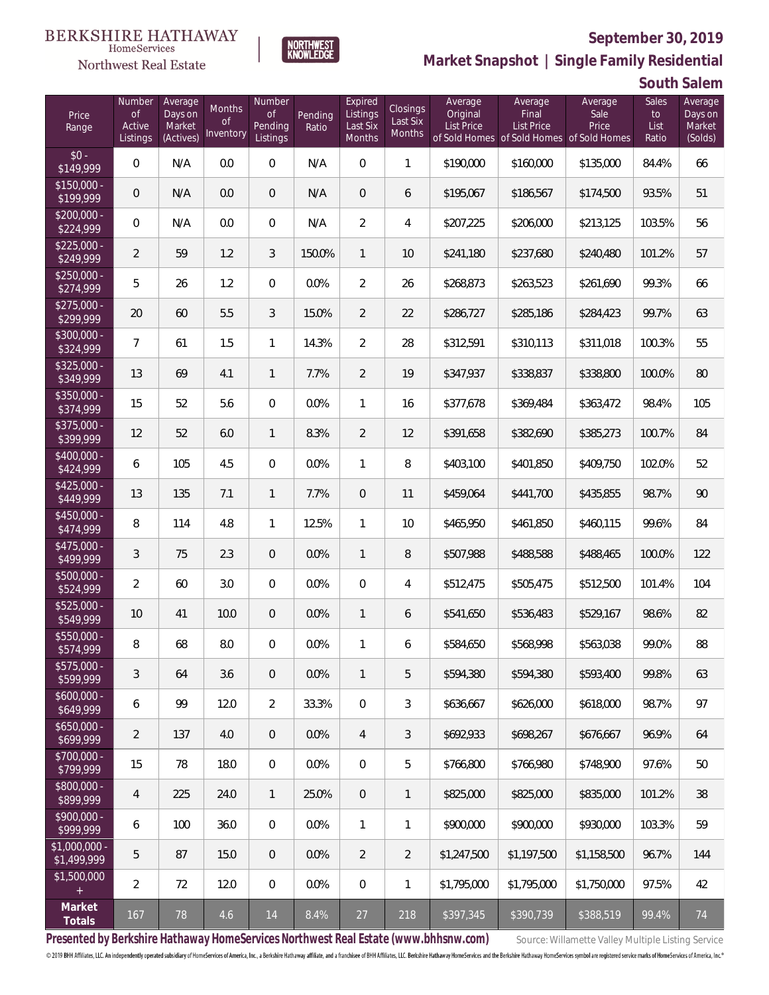

**NORTHWEST**<br>KNOWLEDGE

Northwest Real Estate

**Market Snapshot | Single Family Residential**

**South Salem**

| Price<br>Range                | Number<br><b>of</b><br>Active<br>Listings | Average<br>Days on<br>Market<br>(Actives) | Months<br>0f<br>Inventory | Number<br>of<br>Pending<br>Listings | Pending<br>Ratio | Expired<br>Listings<br>Last Six<br>Months | Closings<br>Last Six<br>Months | Average<br>Original<br><b>List Price</b><br>of Sold Homes | Average<br>Final<br><b>List Price</b><br>of Sold Homes of Sold Homes | Average<br>Sale<br>Price | Sales<br>to<br>List<br>Ratio | Average<br>Days on<br>Market<br>(Solds) |
|-------------------------------|-------------------------------------------|-------------------------------------------|---------------------------|-------------------------------------|------------------|-------------------------------------------|--------------------------------|-----------------------------------------------------------|----------------------------------------------------------------------|--------------------------|------------------------------|-----------------------------------------|
| $$0 -$<br>\$149,999           | 0                                         | N/A                                       | 0.0                       | $\overline{0}$                      | N/A              | $\overline{0}$                            | $\mathbf{1}$                   | \$190,000                                                 | \$160,000                                                            | \$135,000                | 84.4%                        | 66                                      |
| $$150,000 -$<br>\$199,999     | 0                                         | N/A                                       | 0.0                       | $\overline{0}$                      | N/A              | $\overline{0}$                            | 6                              | \$195,067                                                 | \$186,567                                                            | \$174,500                | 93.5%                        | 51                                      |
| $$200,000 -$<br>\$224,999     | 0                                         | N/A                                       | 0.0                       | $\overline{0}$                      | N/A              | $\overline{2}$                            | 4                              | \$207,225                                                 | \$206,000                                                            | \$213,125                | 103.5%                       | 56                                      |
| $$225,000 -$<br>\$249,999     | $\overline{2}$                            | 59                                        | 1.2                       | 3                                   | 150.0%           | $\mathbf{1}$                              | 10                             | \$241,180                                                 | \$237,680                                                            | \$240,480                | 101.2%                       | 57                                      |
| $$250,000 -$<br>\$274,999     | 5                                         | 26                                        | 1.2                       | $\mathbf{0}$                        | 0.0%             | $\overline{2}$                            | 26                             | \$268,873                                                 | \$263,523                                                            | \$261,690                | 99.3%                        | 66                                      |
| $$275,000 -$<br>\$299,999     | 20                                        | 60                                        | 5.5                       | 3                                   | 15.0%            | $\overline{2}$                            | 22                             | \$286,727                                                 | \$285,186                                                            | \$284,423                | 99.7%                        | 63                                      |
| $$300,000 -$<br>\$324,999     | $\overline{7}$                            | 61                                        | 1.5                       | $\mathbf{1}$                        | 14.3%            | $\overline{2}$                            | 28                             | \$312,591                                                 | \$310,113                                                            | \$311,018                | 100.3%                       | 55                                      |
| $$325,000 -$<br>\$349,999     | 13                                        | 69                                        | 4.1                       | $\mathbf{1}$                        | 7.7%             | $\overline{2}$                            | 19                             | \$347,937                                                 | \$338,837                                                            | \$338,800                | 100.0%                       | 80                                      |
| $$350,000 -$<br>\$374,999     | 15                                        | 52                                        | 5.6                       | $\overline{0}$                      | 0.0%             | $\mathbf{1}$                              | 16                             | \$377,678                                                 | \$369,484                                                            | \$363,472                | 98.4%                        | 105                                     |
| $$375,000 -$<br>\$399,999     | 12                                        | 52                                        | 6.0                       | $\mathbf{1}$                        | 8.3%             | $\overline{2}$                            | 12                             | \$391,658                                                 | \$382,690                                                            | \$385,273                | 100.7%                       | 84                                      |
| $$400,000 -$<br>\$424,999     | 6                                         | 105                                       | 4.5                       | $\overline{0}$                      | 0.0%             | $\mathbf{1}$                              | 8                              | \$403,100                                                 | \$401,850                                                            | \$409,750                | 102.0%                       | 52                                      |
| $$425,000 -$<br>\$449,999     | 13                                        | 135                                       | 7.1                       | $\mathbf{1}$                        | 7.7%             | $\overline{0}$                            | 11                             | \$459,064                                                 | \$441,700                                                            | \$435,855                | 98.7%                        | 90                                      |
| $$450,000 -$<br>\$474,999     | 8                                         | 114                                       | 4.8                       | $\mathbf{1}$                        | 12.5%            | $\mathbf{1}$                              | 10                             | \$465,950                                                 | \$461,850                                                            | \$460,115                | 99.6%                        | 84                                      |
| $$475,000 -$<br>\$499,999     | 3                                         | 75                                        | 2.3                       | $\overline{0}$                      | 0.0%             | $\mathbf{1}$                              | 8                              | \$507,988                                                 | \$488,588                                                            | \$488,465                | 100.0%                       | 122                                     |
| $$500,000 -$<br>\$524,999     | $\overline{a}$                            | 60                                        | 3.0                       | $\overline{0}$                      | 0.0%             | $\overline{0}$                            | 4                              | \$512,475                                                 | \$505,475                                                            | \$512,500                | 101.4%                       | 104                                     |
| \$525,000 -<br>\$549,999      | 10                                        | 41                                        | 10.0                      | $\overline{0}$                      | 0.0%             | $\mathbf{1}$                              | 6                              | \$541,650                                                 | \$536,483                                                            | \$529,167                | 98.6%                        | 82                                      |
| \$550,000 -<br>\$574,999      | 8                                         | 68                                        | 8.0                       | $\mathbf{0}$                        | 0.0%             | $\mathbf{1}$                              | 6                              | \$584,650                                                 | \$568,998                                                            | \$563,038                | 99.0%                        | 88                                      |
| $$575,000 -$<br>\$599,999     | 3                                         | 64                                        | 3.6                       | $\theta$                            | 0.0%             | $\mathbf{1}$                              | 5                              | \$594,380                                                 | \$594,380                                                            | \$593,400                | 99.8%                        | 63                                      |
| $$600,000 -$<br>\$649,999     | 6                                         | 99                                        | 12.0                      | $\overline{2}$                      | 33.3%            | $\boldsymbol{0}$                          | 3                              | \$636,667                                                 | \$626,000                                                            | \$618,000                | 98.7%                        | 97                                      |
| $$650,000 -$<br>\$699,999     | $\overline{2}$                            | 137                                       | 4.0                       | $\theta$                            | 0.0%             | 4                                         | $\mathfrak{Z}$                 | \$692,933                                                 | \$698.267                                                            | \$676,667                | 96.9%                        | 64                                      |
| $$700,000 -$<br>\$799,999     | 15                                        | 78                                        | 18.0                      | $\mathbf 0$                         | 0.0%             | $\boldsymbol{0}$                          | 5                              | \$766,800                                                 | \$766,980                                                            | \$748,900                | 97.6%                        | 50                                      |
| \$800,000 -<br>\$899,999      | $\overline{4}$                            | 225                                       | 24.0                      | $\mathbf{1}$                        | 25.0%            | $\overline{0}$                            | $\mathbf{1}$                   | \$825,000                                                 | \$825,000                                                            | \$835,000                | 101.2%                       | 38                                      |
| $$900,000 -$<br>\$999,999     | 6                                         | 100                                       | 36.0                      | $\mathbf 0$                         | 0.0%             | $\mathbf{1}$                              | 1                              | \$900,000                                                 | \$900,000                                                            | \$930,000                | 103.3%                       | 59                                      |
| $$1,000,000 -$<br>\$1,499,999 | 5                                         | 87                                        | 15.0                      | $\overline{0}$                      | 0.0%             | $\overline{2}$                            | $\overline{2}$                 | \$1,247,500                                               | \$1,197,500                                                          | \$1,158,500              | 96.7%                        | 144                                     |
| \$1,500,000<br>$+$            | $\overline{2}$                            | 72                                        | 12.0                      | $\overline{0}$                      | 0.0%             | 0                                         | 1                              | \$1,795,000                                               | \$1,795,000                                                          | \$1,750,000              | 97.5%                        | 42                                      |
| Market<br>Totals              | 167                                       | 78                                        | 4.6                       | 14                                  | 8.4%             | 27                                        | 218                            | \$397,345                                                 | \$390,739                                                            | \$388,519                | 99.4%                        | 74                                      |

Presented by Berkshire Hathaway HomeServices Northwest Real Estate (www.bhhsnw.com) source: Willamette Valley Multiple Listing Service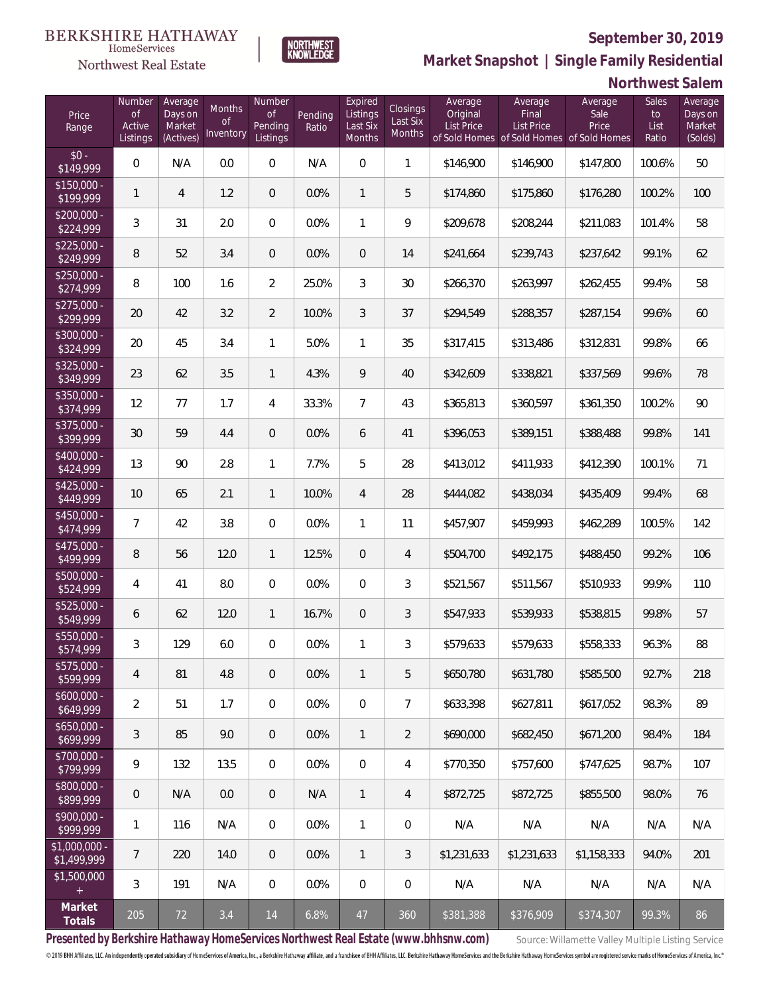

NORTHWEST<br>KNOWLEDGE

Northwest Real Estate

**Market Snapshot | Single Family Residential**

### **Northwest Salem**

| Price<br>Range                   | Number<br><b>of</b><br>Active<br>Listings | Average<br>Days on<br>Market<br>(Actives) | Months<br>0f<br>Inventory | Number<br>Οf<br>Pending<br>Listings | Pending<br>Ratio | Expired<br>Listings<br>Last Six<br>Months | Closings<br>Last Six<br>Months | Average<br>Original<br><b>List Price</b> | Average<br>Final<br><b>List Price</b><br>of Sold Homes of Sold Homes of Sold Homes | Average<br>Sale<br>Price | Sales<br>to<br>List<br>Ratio | Average<br>Days on<br>Market<br>(Solds) |
|----------------------------------|-------------------------------------------|-------------------------------------------|---------------------------|-------------------------------------|------------------|-------------------------------------------|--------------------------------|------------------------------------------|------------------------------------------------------------------------------------|--------------------------|------------------------------|-----------------------------------------|
| $$0 -$<br>\$149,999              | 0                                         | N/A                                       | 0.0                       | $\overline{0}$                      | N/A              | $\overline{0}$                            | $\mathbf{1}$                   | \$146,900                                | \$146,900                                                                          | \$147,800                | 100.6%                       | 50                                      |
| $$150,000 -$<br>\$199,999        | 1                                         | $\overline{4}$                            | 1.2                       | $\overline{0}$                      | 0.0%             | $\mathbf{1}$                              | 5                              | \$174,860                                | \$175,860                                                                          | \$176,280                | 100.2%                       | 100                                     |
| $\sqrt{$200,000}$ -<br>\$224,999 | 3                                         | 31                                        | 2.0                       | $\overline{0}$                      | 0.0%             | $\mathbf{1}$                              | 9                              | \$209,678                                | \$208,244                                                                          | \$211,083                | 101.4%                       | 58                                      |
| $$225,000 -$<br>\$249,999        | 8                                         | 52                                        | 3.4                       | $\overline{0}$                      | 0.0%             | $\overline{0}$                            | 14                             | \$241,664                                | \$239,743                                                                          | \$237,642                | 99.1%                        | 62                                      |
| $$250,000 -$<br>\$274,999        | 8                                         | 100                                       | 1.6                       | $\overline{2}$                      | 25.0%            | 3                                         | 30                             | \$266,370                                | \$263,997                                                                          | \$262,455                | 99.4%                        | 58                                      |
| $$275,000 -$<br>\$299,999        | 20                                        | 42                                        | 3.2                       | $\overline{2}$                      | 10.0%            | 3                                         | 37                             | \$294,549                                | \$288,357                                                                          | \$287,154                | 99.6%                        | 60                                      |
| $$300,000 -$<br>\$324,999        | 20                                        | 45                                        | 3.4                       | $\mathbf{1}$                        | 5.0%             | $\mathbf{1}$                              | 35                             | \$317,415                                | \$313,486                                                                          | \$312,831                | 99.8%                        | 66                                      |
| $$325,000 -$<br>\$349,999        | 23                                        | 62                                        | 3.5                       | $\mathbf{1}$                        | 4.3%             | 9                                         | 40                             | \$342,609                                | \$338,821                                                                          | \$337,569                | 99.6%                        | 78                                      |
| $$350,000 -$<br>\$374,999        | 12                                        | 77                                        | 1.7                       | 4                                   | 33.3%            | $\overline{7}$                            | 43                             | \$365,813                                | \$360,597                                                                          | \$361,350                | 100.2%                       | 90                                      |
| $$375,000 -$<br>\$399,999        | 30                                        | 59                                        | 4.4                       | $\overline{0}$                      | 0.0%             | 6                                         | 41                             | \$396,053                                | \$389,151                                                                          | \$388,488                | 99.8%                        | 141                                     |
| \$400,000 -<br>\$424,999         | 13                                        | 90                                        | 2.8                       | $\mathbf{1}$                        | 7.7%             | 5                                         | 28                             | \$413,012                                | \$411,933                                                                          | \$412,390                | 100.1%                       | 71                                      |
| $$425,000 -$<br>\$449,999        | 10                                        | 65                                        | 2.1                       | $\mathbf{1}$                        | 10.0%            | $\overline{4}$                            | 28                             | \$444,082                                | \$438,034                                                                          | \$435,409                | 99.4%                        | 68                                      |
| $$450,000 -$<br>\$474,999        | $\overline{7}$                            | 42                                        | 3.8                       | $\overline{0}$                      | 0.0%             | $\mathbf{1}$                              | 11                             | \$457,907                                | \$459,993                                                                          | \$462,289                | 100.5%                       | 142                                     |
| $$475,000 -$<br>\$499,999        | 8                                         | 56                                        | 12.0                      | $\mathbf{1}$                        | 12.5%            | $\overline{0}$                            | $\overline{4}$                 | \$504,700                                | \$492,175                                                                          | \$488,450                | 99.2%                        | 106                                     |
| \$500,000 -<br>\$524,999         | 4                                         | 41                                        | 8.0                       | $\overline{0}$                      | 0.0%             | $\overline{0}$                            | 3                              | \$521,567                                | \$511,567                                                                          | \$510,933                | 99.9%                        | 110                                     |
| \$525,000 -<br>\$549,999         | 6                                         | 62                                        | 12.0                      | $\mathbf{1}$                        | 16.7%            | $\overline{0}$                            | $\mathfrak{Z}$                 | \$547,933                                | \$539,933                                                                          | \$538,815                | 99.8%                        | 57                                      |
| \$550,000 -<br>\$574,999         | 3                                         | 129                                       | 6.0                       | $\mathbf{0}$                        | 0.0%             | $\mathbf{1}$                              | 3                              | \$579,633                                | \$579,633                                                                          | \$558,333                | 96.3%                        | 88                                      |
| $$575,000 -$<br>\$599,999        | 4                                         | 81                                        | 4.8                       | $\theta$                            | 0.0%             | $\mathbf{1}$                              | 5                              | \$650,780                                | \$631,780                                                                          | \$585,500                | 92.7%                        | 218                                     |
| $$600,000 -$<br>\$649,999        | $\overline{2}$                            | 51                                        | 1.7                       | $\mathbf 0$                         | 0.0%             | $\mathbf 0$                               | $\overline{7}$                 | \$633,398                                | \$627,811                                                                          | \$617,052                | 98.3%                        | 89                                      |
| $$650,000 -$<br>\$699,999        | $\sqrt{3}$                                | 85                                        | 9.0                       | $\overline{0}$                      | 0.0%             | $\mathbf{1}$                              | $\overline{2}$                 | \$690,000                                | \$682,450                                                                          | \$671,200                | 98.4%                        | 184                                     |
| $$700,000 -$<br>\$799,999        | 9                                         | 132                                       | 13.5                      | $\mathbf 0$                         | 0.0%             | $\mathbf 0$                               | 4                              | \$770,350                                | \$757,600                                                                          | \$747,625                | 98.7%                        | 107                                     |
| $$800,000 -$<br>\$899,999        | 0                                         | N/A                                       | 0.0                       | $\overline{0}$                      | N/A              | $\mathbf{1}$                              | 4                              | \$872,725                                | \$872,725                                                                          | \$855,500                | 98.0%                        | 76                                      |
| $$900,000 -$<br>\$999,999        | 1                                         | 116                                       | N/A                       | $\overline{0}$                      | 0.0%             | $\mathbf{1}$                              | $\mathbf 0$                    | N/A                                      | N/A                                                                                | N/A                      | N/A                          | N/A                                     |
| \$1,000,000 -<br>\$1,499,999     | $\overline{7}$                            | 220                                       | 14.0                      | $\overline{0}$                      | 0.0%             | $\mathbf{1}$                              | $\mathfrak{Z}$                 | \$1,231,633                              | \$1,231,633                                                                        | \$1,158,333              | 94.0%                        | 201                                     |
| \$1,500,000<br>$+$               | 3                                         | 191                                       | N/A                       | $\overline{0}$                      | 0.0%             | $\mathbf 0$                               | $\mathbf 0$                    | N/A                                      | N/A                                                                                | N/A                      | N/A                          | N/A                                     |
| Market<br>Totals                 | 205                                       | 72                                        | $3.4\,$                   | 14                                  | 6.8%             | 47                                        | 360                            | \$381,388                                | \$376,909                                                                          | \$374,307                | 99.3%                        | 86                                      |

Presented by Berkshire Hathaway HomeServices Northwest Real Estate (www.bhhsnw.com) source: Willamette Valley Multiple Listing Service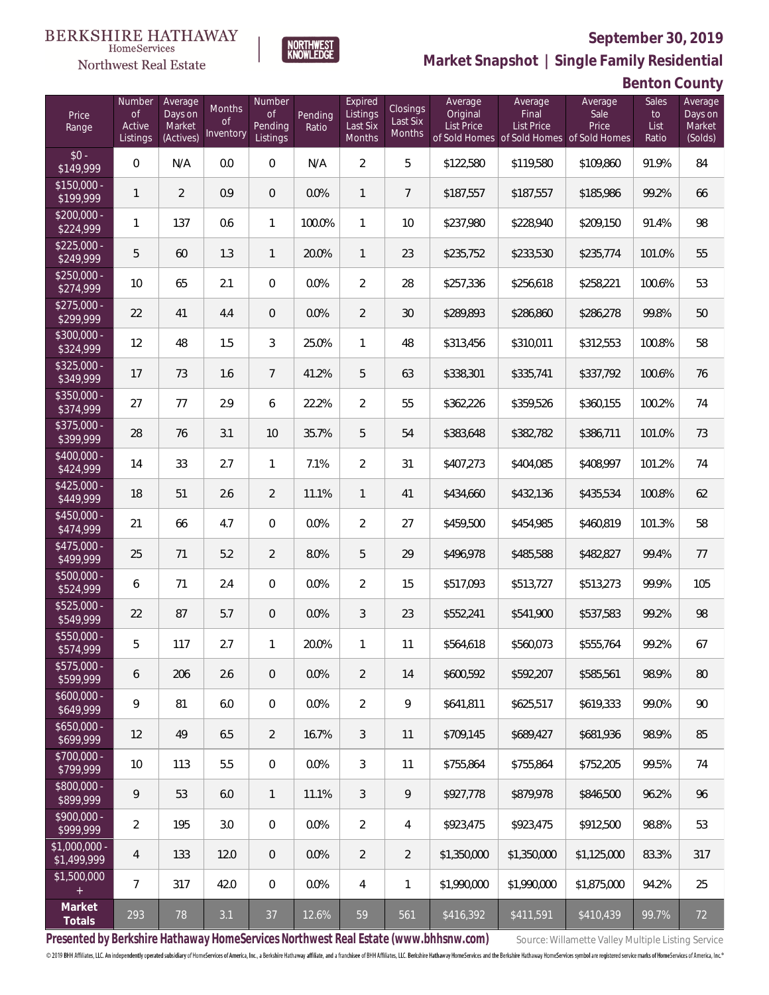

**NORTHWEST**<br>KNOWLEDGE

Northwest Real Estate

**Market Snapshot | Single Family Residential**

**Benton County**

| Price<br>Range               | Number<br><b>of</b><br>Active<br>Listings | Average<br>Days on<br>Market<br>(Actives) | Months<br><b>of</b><br>Inventory | Number<br><b>of</b><br>Pending<br>Listings | Pending<br>Ratio | Expired<br>Listings<br>Last Six<br>Months | Closings<br>Last Six<br>Months | Average<br>Original<br><b>List Price</b> | Average<br>Final<br><b>List Price</b><br>of Sold Homes of Sold Homes of Sold Homes | Average<br>Sale<br>Price | Sales<br>to<br>List<br>Ratio | Average<br>Days on<br>Market<br>(Solds) |
|------------------------------|-------------------------------------------|-------------------------------------------|----------------------------------|--------------------------------------------|------------------|-------------------------------------------|--------------------------------|------------------------------------------|------------------------------------------------------------------------------------|--------------------------|------------------------------|-----------------------------------------|
| $$0 -$<br>$\sqrt{$149.999}$  | 0                                         | N/A                                       | 0.0                              | $\overline{0}$                             | N/A              | $\overline{2}$                            | 5                              | \$122,580                                | \$119,580                                                                          | \$109,860                | 91.9%                        | 84                                      |
| $$150,000 -$<br>\$199,999    | $\mathbf{1}$                              | $\overline{2}$                            | 0.9                              | $\overline{0}$                             | 0.0%             | $\mathbf{1}$                              | $\overline{7}$                 | \$187,557                                | \$187,557                                                                          | \$185,986                | 99.2%                        | 66                                      |
| $$200,000 -$<br>\$224,999    | $\mathbf{1}$                              | 137                                       | 0.6                              | $\mathbf{1}$                               | 100.0%           | $\mathbf{1}$                              | 10                             | \$237,980                                | \$228,940                                                                          | \$209,150                | 91.4%                        | 98                                      |
| $$225,000 -$<br>\$249,999    | 5                                         | 60                                        | 1.3                              | $\mathbf{1}$                               | 20.0%            | $\mathbf{1}$                              | 23                             | \$235,752                                | \$233,530                                                                          | \$235,774                | 101.0%                       | 55                                      |
| $$250,000 -$<br>\$274,999    | 10                                        | 65                                        | 2.1                              | $\overline{0}$                             | 0.0%             | $\overline{2}$                            | 28                             | \$257,336                                | \$256,618                                                                          | \$258,221                | 100.6%                       | 53                                      |
| $$275,000 -$<br>\$299,999    | 22                                        | 41                                        | 4.4                              | $\overline{0}$                             | 0.0%             | $\overline{2}$                            | 30                             | \$289,893                                | \$286,860                                                                          | \$286,278                | 99.8%                        | 50                                      |
| $$300,000 -$<br>\$324,999    | 12                                        | 48                                        | 1.5                              | $\mathfrak{Z}$                             | 25.0%            | $\mathbf{1}$                              | 48                             | \$313,456                                | \$310,011                                                                          | \$312,553                | 100.8%                       | 58                                      |
| $$325,000 -$<br>\$349,999    | 17                                        | 73                                        | 1.6                              | $7\overline{ }$                            | 41.2%            | 5                                         | 63                             | \$338,301                                | \$335,741                                                                          | \$337,792                | 100.6%                       | 76                                      |
| \$350,000 -<br>\$374,999     | 27                                        | 77                                        | 2.9                              | 6                                          | 22.2%            | $\overline{2}$                            | 55                             | \$362,226                                | \$359,526                                                                          | \$360,155                | 100.2%                       | 74                                      |
| \$375,000 -<br>\$399,999     | 28                                        | 76                                        | 3.1                              | 10                                         | 35.7%            | 5                                         | 54                             | \$383,648                                | \$382,782                                                                          | \$386,711                | 101.0%                       | 73                                      |
| $$400,000 -$<br>\$424,999    | 14                                        | 33                                        | 2.7                              | $\mathbf{1}$                               | 7.1%             | $\overline{2}$                            | 31                             | \$407,273                                | \$404,085                                                                          | \$408,997                | 101.2%                       | 74                                      |
| $$425,000 -$<br>\$449,999    | 18                                        | 51                                        | 2.6                              | $\overline{2}$                             | 11.1%            | $\mathbf{1}$                              | 41                             | \$434,660                                | \$432,136                                                                          | \$435,534                | 100.8%                       | 62                                      |
| $$450,000 -$<br>\$474,999    | 21                                        | 66                                        | 4.7                              | $\overline{0}$                             | 0.0%             | $\overline{2}$                            | 27                             | \$459,500                                | \$454,985                                                                          | \$460,819                | 101.3%                       | 58                                      |
| $$475,000 -$<br>\$499,999    | 25                                        | 71                                        | 5.2                              | $\overline{2}$                             | 8.0%             | 5                                         | 29                             | \$496,978                                | \$485,588                                                                          | \$482,827                | 99.4%                        | 77                                      |
| $$500,000 -$<br>\$524,999    | 6                                         | 71                                        | 2.4                              | $\overline{0}$                             | 0.0%             | $\overline{2}$                            | 15                             | \$517,093                                | \$513,727                                                                          | \$513,273                | 99.9%                        | 105                                     |
| $$525,000 -$<br>\$549,999    | 22                                        | 87                                        | 5.7                              | $\overline{0}$                             | 0.0%             | 3                                         | 23                             | \$552,241                                | \$541,900                                                                          | \$537,583                | 99.2%                        | 98                                      |
| $$550,000 -$<br>\$574,999    | 5                                         | 117                                       | 2.7                              | 1                                          | 20.0%            | $\mathbf{1}$                              | 11                             | \$564,618                                | \$560,073                                                                          | \$555,764                | 99.2%                        | 67                                      |
| $$575,000 -$<br>\$599,999    | 6                                         | 206                                       | 2.6                              | $\mathbf 0$                                | 0.0%             | $\overline{2}$                            | 14                             | \$600,592                                | \$592,207                                                                          | \$585,561                | 98.9%                        | 80                                      |
| $$600,000 -$<br>\$649,999    | 9                                         | 81                                        | 6.0                              | $\mathbf 0$                                | 0.0%             | $\overline{2}$                            | 9                              | \$641,811                                | \$625,517                                                                          | \$619,333                | 99.0%                        | 90                                      |
| $$650,000 -$<br>\$699,999    | 12                                        | 49                                        | 6.5                              | $\overline{2}$                             | 16.7%            | $\mathfrak{Z}$                            | 11                             | \$709,145                                | \$689,427                                                                          | \$681,936                | 98.9%                        | 85                                      |
| \$700,000 -<br>\$799,999     | 10                                        | 113                                       | 5.5                              | $\mathbf 0$                                | 0.0%             | 3                                         | 11                             | \$755,864                                | \$755,864                                                                          | \$752,205                | 99.5%                        | 74                                      |
| \$800,000 -<br>\$899,999     | 9                                         | 53                                        | 6.0                              | $\mathbf{1}$                               | 11.1%            | 3                                         | 9                              | \$927,778                                | \$879,978                                                                          | \$846,500                | 96.2%                        | 96                                      |
| \$900,000 -<br>\$999,999     | $\overline{2}$                            | 195                                       | 3.0                              | $\overline{0}$                             | 0.0%             | $\overline{2}$                            | $\overline{4}$                 | \$923,475                                | \$923,475                                                                          | \$912,500                | 98.8%                        | 53                                      |
| \$1,000,000 -<br>\$1,499,999 | $\overline{4}$                            | 133                                       | 12.0                             | $\mathbf 0$                                | 0.0%             | $\overline{2}$                            | $\overline{2}$                 | \$1,350,000                              | \$1,350,000                                                                        | \$1,125,000              | 83.3%                        | 317                                     |
| \$1,500,000<br>$\pm$         | 7                                         | 317                                       | 42.0                             | $\mathbf 0$                                | 0.0%             | $\overline{4}$                            | $\mathbf{1}$                   | \$1,990,000                              | \$1,990,000                                                                        | \$1,875,000              | 94.2%                        | 25                                      |
| Market<br>Totals             | 293                                       | 78                                        | 3.1                              | 37                                         | 12.6%            | 59                                        | 561                            | \$416,392                                | \$411,591                                                                          | \$410,439                | 99.7%                        | 72                                      |

Presented by Berkshire Hathaway HomeServices Northwest Real Estate (www.bhhsnw.com) source: Willamette Valley Multiple Listing Service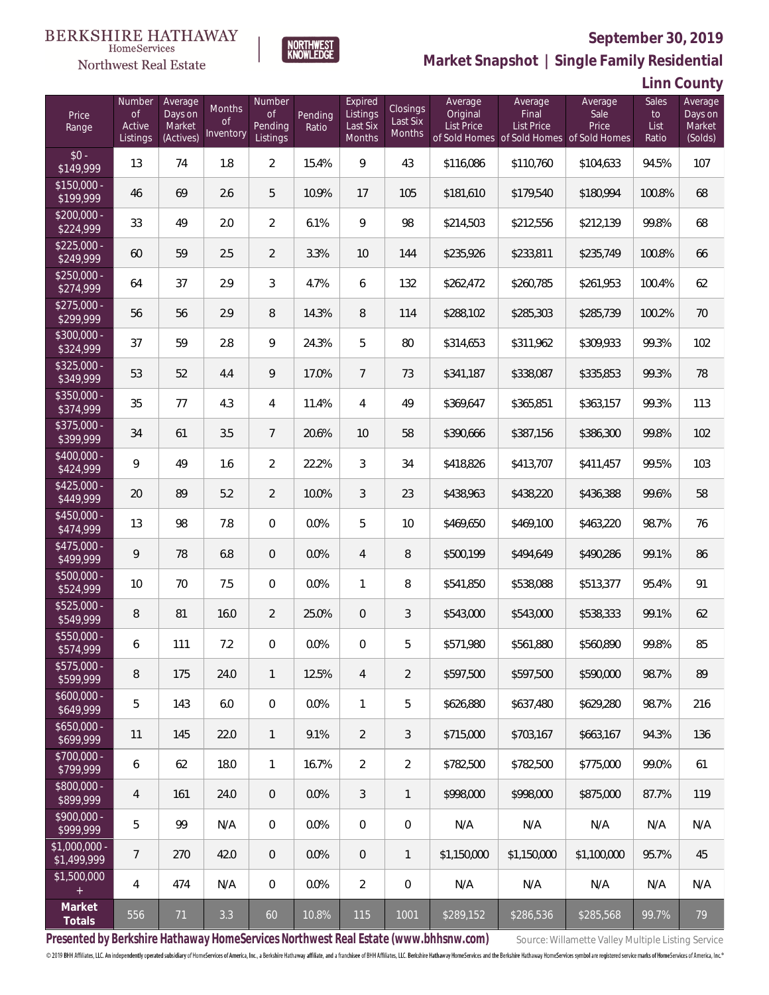

**NORTHWEST**<br>KNOWLEDGE

Northwest Real Estate

**Market Snapshot | Single Family Residential**

**Linn County**

| Price<br>Range                | Number<br>of<br>Active<br>Listings | Average<br>Days on<br>Market<br>(Actives) | Months<br>Οf<br>Inventory | Number<br>Οf<br>Pending<br>Listings | Pending<br>Ratio | Expired<br>Listings<br>Last Six<br>Months | Closings<br>Last Six<br>Months | Average<br>Original<br><b>List Price</b> | Average<br>Final<br>List Price<br>of Sold Homes of Sold Homes of Sold Homes | Average<br>Sale<br>Price | Sales<br>to<br>List<br>Ratio | Average<br>Days on<br>Market<br>(Solds) |
|-------------------------------|------------------------------------|-------------------------------------------|---------------------------|-------------------------------------|------------------|-------------------------------------------|--------------------------------|------------------------------------------|-----------------------------------------------------------------------------|--------------------------|------------------------------|-----------------------------------------|
| $$0 -$<br>\$149,999           | 13                                 | 74                                        | 1.8                       | $\overline{2}$                      | 15.4%            | 9                                         | 43                             | \$116,086                                | \$110,760                                                                   | \$104,633                | 94.5%                        | 107                                     |
| $$150,000 -$<br>\$199,999     | 46                                 | 69                                        | 2.6                       | 5                                   | 10.9%            | 17                                        | 105                            | \$181,610                                | \$179,540                                                                   | \$180,994                | 100.8%                       | 68                                      |
| $$200,000 -$<br>\$224,999     | 33                                 | 49                                        | 2.0                       | $\overline{2}$                      | 6.1%             | 9                                         | 98                             | \$214,503                                | \$212,556                                                                   | \$212,139                | 99.8%                        | 68                                      |
| $$225,000 -$<br>\$249,999     | 60                                 | 59                                        | 2.5                       | $\overline{2}$                      | 3.3%             | 10                                        | 144                            | \$235,926                                | \$233,811                                                                   | \$235,749                | 100.8%                       | 66                                      |
| $$250,000 -$<br>\$274,999     | 64                                 | 37                                        | 2.9                       | 3                                   | 4.7%             | 6                                         | 132                            | \$262,472                                | \$260,785                                                                   | \$261,953                | 100.4%                       | 62                                      |
| $$275,000 -$<br>\$299,999     | 56                                 | 56                                        | 2.9                       | $\, 8$                              | 14.3%            | 8                                         | 114                            | \$288,102                                | \$285,303                                                                   | \$285,739                | 100.2%                       | 70                                      |
| \$300,000 -<br>\$324,999      | 37                                 | 59                                        | 2.8                       | 9                                   | 24.3%            | 5                                         | 80                             | \$314,653                                | \$311,962                                                                   | \$309,933                | 99.3%                        | 102                                     |
| $$325,000 -$<br>\$349,999     | 53                                 | 52                                        | 4.4                       | 9                                   | 17.0%            | $\overline{7}$                            | 73                             | \$341,187                                | \$338,087                                                                   | \$335,853                | 99.3%                        | 78                                      |
| \$350,000 -<br>\$374,999      | 35                                 | 77                                        | 4.3                       | 4                                   | 11.4%            | $\overline{4}$                            | 49                             | \$369,647                                | \$365,851                                                                   | \$363,157                | 99.3%                        | 113                                     |
| \$375,000 -<br>\$399,999      | 34                                 | 61                                        | 3.5                       | $\overline{7}$                      | 20.6%            | 10                                        | 58                             | \$390,666                                | \$387,156                                                                   | \$386,300                | 99.8%                        | 102                                     |
| $$400,000 -$<br>\$424,999     | 9                                  | 49                                        | 1.6                       | $\overline{2}$                      | 22.2%            | 3                                         | 34                             | \$418,826                                | \$413,707                                                                   | \$411,457                | 99.5%                        | 103                                     |
| $$425,000 -$<br>\$449,999     | 20                                 | 89                                        | 5.2                       | $\overline{2}$                      | 10.0%            | $\mathfrak{Z}$                            | 23                             | \$438,963                                | \$438,220                                                                   | \$436,388                | 99.6%                        | 58                                      |
| \$450,000 -<br>\$474,999      | 13                                 | 98                                        | 7.8                       | $\overline{0}$                      | 0.0%             | 5                                         | 10                             | \$469,650                                | \$469,100                                                                   | \$463,220                | 98.7%                        | 76                                      |
| $$475,000 -$<br>\$499,999     | 9                                  | 78                                        | 6.8                       | $\overline{0}$                      | 0.0%             | $\overline{4}$                            | 8                              | \$500,199                                | \$494,649                                                                   | \$490,286                | 99.1%                        | 86                                      |
| $$500,000 -$<br>\$524,999     | 10                                 | 70                                        | 7.5                       | $\overline{0}$                      | 0.0%             | $\mathbf{1}$                              | 8                              | \$541,850                                | \$538,088                                                                   | \$513,377                | 95.4%                        | 91                                      |
| \$525,000 -<br>\$549,999      | 8                                  | 81                                        | 16.0                      | $\overline{2}$                      | 25.0%            | $\overline{0}$                            | 3                              | \$543,000                                | \$543,000                                                                   | \$538,333                | 99.1%                        | 62                                      |
| \$550,000 -<br>\$574,999      | 6                                  | 111                                       | 7.2                       | 0                                   | 0.0%             | $\overline{0}$                            | 5                              | \$571,980                                | \$561,880                                                                   | \$560,890                | 99.8%                        | 85                                      |
| $$575,000 -$<br>\$599,999     | 8                                  | 175                                       | 24.0                      | $\mathbf{1}$                        | 12.5%            | $\overline{4}$                            | 2                              | \$597,500                                | \$597,500                                                                   | \$590,000                | 98.7%                        | 89                                      |
| $$600,000 -$<br>\$649,999     | 5                                  | 143                                       | 6.0                       | $\mathbf{0}$                        | 0.0%             | $\mathbf{1}$                              | 5                              | \$626,880                                | \$637,480                                                                   | \$629,280                | 98.7%                        | 216                                     |
| $$650,000 -$<br>\$699,999     | 11                                 | 145                                       | 22.0                      | $\mathbf{1}$                        | 9.1%             | 2                                         | 3                              | \$715,000                                | \$703.167                                                                   | \$663.167                | 94.3%                        | 136                                     |
| \$700,000 -<br>\$799,999      | 6                                  | 62                                        | 18.0                      | $\mathbf{1}$                        | 16.7%            | $\overline{2}$                            | $\overline{2}$                 | \$782,500                                | \$782,500                                                                   | \$775,000                | 99.0%                        | 61                                      |
| \$800,000 -<br>\$899,999      | 4                                  | 161                                       | 24.0                      | $\overline{0}$                      | 0.0%             | 3                                         | $\mathbf{1}$                   | \$998,000                                | \$998,000                                                                   | \$875,000                | 87.7%                        | 119                                     |
| $$900,000 -$<br>\$999,999     | 5                                  | 99                                        | N/A                       | $\overline{0}$                      | 0.0%             | $\overline{0}$                            | 0                              | N/A                                      | N/A                                                                         | N/A                      | N/A                          | N/A                                     |
| $$1,000,000 -$<br>\$1,499,999 | 7                                  | 270                                       | 42.0                      | $\overline{0}$                      | 0.0%             | $\overline{0}$                            | $\mathbf{1}$                   | \$1,150,000                              | \$1,150,000                                                                 | \$1,100,000              | 95.7%                        | 45                                      |
| \$1,500,000                   | 4                                  | 474                                       | N/A                       | $\mathbf 0$                         | 0.0%             | $\overline{2}$                            | $\overline{0}$                 | N/A                                      | N/A                                                                         | N/A                      | N/A                          | N/A                                     |
| Market<br>Totals              | 556                                | 71                                        | 3.3                       | 60                                  | 10.8%            | 115                                       | 1001                           | \$289,152                                | \$286,536                                                                   | \$285,568                | 99.7%                        | 79                                      |

Presented by Berkshire Hathaway HomeServices Northwest Real Estate (www.bhhsnw.com) source: Willamette Valley Multiple Listing Service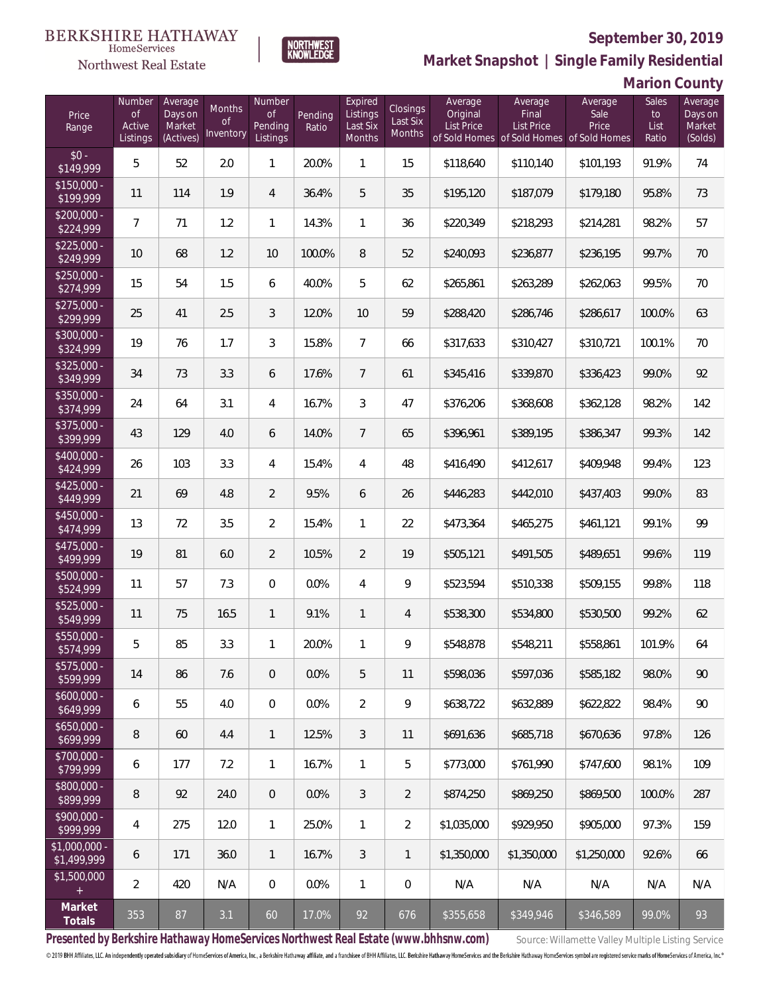

**NORTHWEST**<br>KNOWLEDGE

Northwest Real Estate

**Market Snapshot | Single Family Residential**

**Marion County**

| Price<br>Range                | Number<br><b>of</b><br>Active<br>Listings | Average<br>Days on<br>Market<br>(Actives) | Months<br>0f<br>Inventory | Number<br>of<br>Pending<br>Listings | Pending<br>Ratio | Expired<br>Listings<br>Last Six<br>Months | Closings<br>Last Six<br>Months | Average<br>Original<br><b>List Price</b><br>of Sold Homes | Average<br>Final<br><b>List Price</b> | Average<br>Sale<br>Price<br>of Sold Homes of Sold Homes | Sales<br>to<br>List<br>Ratio | Average<br>Days on<br>Market<br>(Solds) |
|-------------------------------|-------------------------------------------|-------------------------------------------|---------------------------|-------------------------------------|------------------|-------------------------------------------|--------------------------------|-----------------------------------------------------------|---------------------------------------|---------------------------------------------------------|------------------------------|-----------------------------------------|
| $$0 -$<br>\$149,999           | 5                                         | 52                                        | 2.0                       | 1                                   | 20.0%            | $\mathbf{1}$                              | 15                             | \$118,640                                                 | \$110,140                             | \$101,193                                               | 91.9%                        | 74                                      |
| $$150,000 -$<br>\$199,999     | 11                                        | 114                                       | 1.9                       | $\overline{4}$                      | 36.4%            | 5                                         | 35                             | \$195,120                                                 | \$187,079                             | \$179,180                                               | 95.8%                        | 73                                      |
| $$200,000 -$<br>\$224,999     | $\overline{7}$                            | 71                                        | 1.2                       | $\mathbf{1}$                        | 14.3%            | $\mathbf{1}$                              | 36                             | \$220,349                                                 | \$218,293                             | \$214,281                                               | 98.2%                        | 57                                      |
| $$225,000 -$<br>\$249,999     | 10                                        | 68                                        | 1.2                       | 10                                  | 100.0%           | $\, 8$                                    | 52                             | \$240,093                                                 | \$236,877                             | \$236,195                                               | 99.7%                        | 70                                      |
| $$250,000 -$<br>\$274,999     | 15                                        | 54                                        | 1.5                       | 6                                   | 40.0%            | 5                                         | 62                             | \$265,861                                                 | \$263,289                             | \$262,063                                               | 99.5%                        | 70                                      |
| $$275,000 -$<br>\$299,999     | 25                                        | 41                                        | 2.5                       | 3                                   | 12.0%            | 10                                        | 59                             | \$288,420                                                 | \$286,746                             | \$286,617                                               | 100.0%                       | 63                                      |
| $$300,000 -$<br>\$324,999     | 19                                        | 76                                        | 1.7                       | 3                                   | 15.8%            | $\overline{7}$                            | 66                             | \$317,633                                                 | \$310,427                             | \$310,721                                               | 100.1%                       | 70                                      |
| $$325,000 -$<br>\$349,999     | 34                                        | 73                                        | 3.3                       | 6                                   | 17.6%            | $7\overline{ }$                           | 61                             | \$345,416                                                 | \$339,870                             | \$336,423                                               | 99.0%                        | 92                                      |
| $$350,000 -$<br>\$374,999     | 24                                        | 64                                        | 3.1                       | $\overline{4}$                      | 16.7%            | 3                                         | 47                             | \$376,206                                                 | \$368,608                             | \$362,128                                               | 98.2%                        | 142                                     |
| $$375,000 -$<br>\$399,999     | 43                                        | 129                                       | 4.0                       | 6                                   | 14.0%            | $7\overline{ }$                           | 65                             | \$396,961                                                 | \$389,195                             | \$386,347                                               | 99.3%                        | 142                                     |
| $$400,000 -$<br>\$424,999     | 26                                        | 103                                       | 3.3                       | $\overline{4}$                      | 15.4%            | 4                                         | 48                             | \$416,490                                                 | \$412,617                             | \$409,948                                               | 99.4%                        | 123                                     |
| $$425,000 -$<br>\$449,999     | 21                                        | 69                                        | 4.8                       | $\overline{2}$                      | 9.5%             | 6                                         | 26                             | \$446,283                                                 | \$442,010                             | \$437,403                                               | 99.0%                        | 83                                      |
| $$450,000 -$<br>\$474,999     | 13                                        | 72                                        | 3.5                       | $\overline{2}$                      | 15.4%            | $\mathbf{1}$                              | 22                             | \$473,364                                                 | \$465,275                             | \$461,121                                               | 99.1%                        | 99                                      |
| $$475,000 -$<br>\$499,999     | 19                                        | 81                                        | 6.0                       | $\overline{2}$                      | 10.5%            | $\overline{2}$                            | 19                             | \$505,121                                                 | \$491,505                             | \$489,651                                               | 99.6%                        | 119                                     |
| \$500,000 -<br>\$524,999      | 11                                        | 57                                        | 7.3                       | $\overline{0}$                      | 0.0%             | 4                                         | 9                              | \$523,594                                                 | \$510,338                             | \$509,155                                               | 99.8%                        | 118                                     |
| \$525,000 -<br>\$549,999      | 11                                        | 75                                        | 16.5                      | $\mathbf{1}$                        | 9.1%             | $\mathbf{1}$                              | 4                              | \$538,300                                                 | \$534,800                             | \$530,500                                               | 99.2%                        | 62                                      |
| \$550,000 -<br>\$574,999      | 5                                         | 85                                        | 3.3                       | $\mathbf{1}$                        | 20.0%            | $\mathbf{1}$                              | 9                              | \$548,878                                                 | \$548,211                             | \$558,861                                               | 101.9%                       | 64                                      |
| $$575,000 -$<br>\$599,999     | 14                                        | 86                                        | 7.6                       | $\theta$                            | 0.0%             | 5                                         | 11                             | \$598,036                                                 | \$597.036                             | \$585,182                                               | 98.0%                        | 90                                      |
| $$600,000 -$<br>\$649,999     | 6                                         | 55                                        | 4.0                       | $\mathbf 0$                         | 0.0%             | $\overline{2}$                            | 9                              | \$638,722                                                 | \$632,889                             | \$622,822                                               | 98.4%                        | 90                                      |
| $$650,000 -$<br>\$699,999     | 8                                         | 60                                        | 4.4                       | $\mathbf{1}$                        | 12.5%            | 3                                         | 11                             | \$691,636                                                 | \$685,718                             | \$670.636                                               | 97.8%                        | 126                                     |
| $$700,000 -$<br>\$799,999     | 6                                         | 177                                       | 7.2                       | $\mathbf{1}$                        | 16.7%            | $\mathbf{1}$                              | 5                              | \$773,000                                                 | \$761,990                             | \$747,600                                               | 98.1%                        | 109                                     |
| \$800,000 -<br>\$899,999      | 8                                         | 92                                        | 24.0                      | $\overline{0}$                      | 0.0%             | 3                                         | $\overline{2}$                 | \$874,250                                                 | \$869,250                             | \$869,500                                               | 100.0%                       | 287                                     |
| $$900,000 -$<br>\$999,999     | 4                                         | 275                                       | 12.0                      | $\mathbf{1}$                        | 25.0%            | $\mathbf{1}$                              | $\overline{2}$                 | \$1,035,000                                               | \$929,950                             | \$905,000                                               | 97.3%                        | 159                                     |
| $$1,000,000 -$<br>\$1,499,999 | 6                                         | 171                                       | 36.0                      | $\mathbf{1}$                        | 16.7%            | 3                                         | $\mathbf{1}$                   | \$1,350,000                                               | \$1,350,000                           | \$1,250,000                                             | 92.6%                        | 66                                      |
| \$1,500,000<br>$+$            | $\overline{2}$                            | 420                                       | N/A                       | $\overline{0}$                      | 0.0%             | $\mathbf{1}$                              | $\mathbf 0$                    | N/A                                                       | N/A                                   | N/A                                                     | N/A                          | N/A                                     |
| Market<br>Totals              | 353                                       | 87                                        | 3.1                       | 60                                  | 17.0%            | 92                                        | 676                            | \$355,658                                                 | \$349,946                             | \$346,589                                               | 99.0%                        | 93                                      |

Presented by Berkshire Hathaway HomeServices Northwest Real Estate (www.bhhsnw.com) source: Willamette Valley Multiple Listing Service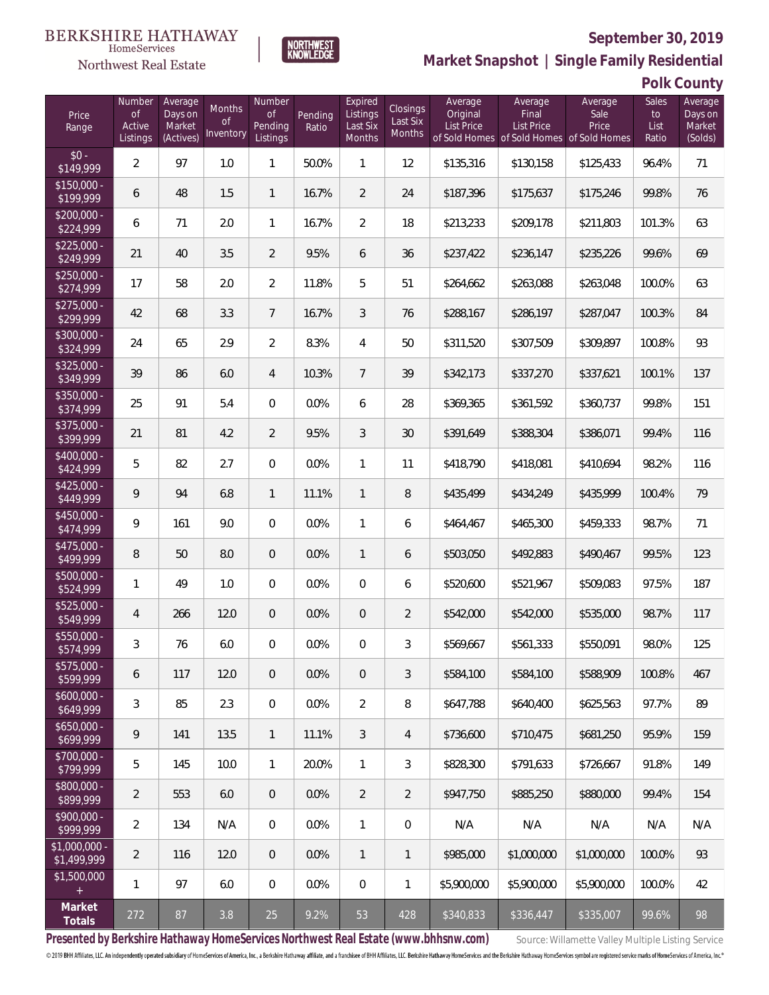#### **BERKSHIRE HATHAWAY** HomeServices

**NORTHWEST**<br>KNOWLEDGE



### **September 30, 2019**

**Market Snapshot | Single Family Residential**

**Polk County**

| Price<br>Range                | Number<br>$\mathsf{of}$<br>Active<br>Listings | Average<br>Days on<br>Market<br>(Actives) | Months<br><b>of</b><br>Inventory | Number<br>Οf<br>Pending<br>Listings | Pending<br>Ratio | Expired<br>Listings<br>Last Six<br><b>Months</b> | Closings<br>Last Six<br>Months | Average<br>Original<br>List Price | Average<br>Final<br><b>List Price</b><br>of Sold Homes of Sold Homes of Sold Homes | Average<br>Sale<br>Price | Sales<br>to<br>List<br>Ratio | Average<br>Days on<br>Market<br>(Solds) |
|-------------------------------|-----------------------------------------------|-------------------------------------------|----------------------------------|-------------------------------------|------------------|--------------------------------------------------|--------------------------------|-----------------------------------|------------------------------------------------------------------------------------|--------------------------|------------------------------|-----------------------------------------|
| $$0 -$<br>\$149,999           | $\overline{2}$                                | 97                                        | 1.0                              | $\mathbf{1}$                        | 50.0%            | $\mathbf{1}$                                     | 12                             | \$135,316                         | \$130,158                                                                          | \$125,433                | 96.4%                        | 71                                      |
| $$150.000 -$<br>\$199,999     | 6                                             | 48                                        | 1.5                              | $\mathbf{1}$                        | 16.7%            | $\overline{2}$                                   | 24                             | \$187,396                         | \$175,637                                                                          | \$175,246                | 99.8%                        | 76                                      |
| $$200.000 -$<br>\$224,999     | 6                                             | 71                                        | 2.0                              | $\mathbf{1}$                        | 16.7%            | $\overline{2}$                                   | 18                             | \$213,233                         | \$209,178                                                                          | \$211,803                | 101.3%                       | 63                                      |
| $$225.000 -$<br>\$249,999     | 21                                            | 40                                        | 3.5                              | $\overline{2}$                      | 9.5%             | 6                                                | 36                             | \$237,422                         | \$236,147                                                                          | \$235,226                | 99.6%                        | 69                                      |
| $$250,000 -$<br>\$274,999     | 17                                            | 58                                        | 2.0                              | $\overline{2}$                      | 11.8%            | 5                                                | 51                             | \$264,662                         | \$263,088                                                                          | \$263,048                | 100.0%                       | 63                                      |
| $$275,000 -$<br>\$299,999     | 42                                            | 68                                        | 3.3                              | $7\overline{ }$                     | 16.7%            | 3                                                | 76                             | \$288,167                         | \$286,197                                                                          | \$287,047                | 100.3%                       | 84                                      |
| $$300,000 -$<br>\$324,999     | 24                                            | 65                                        | 2.9                              | $\overline{2}$                      | 8.3%             | 4                                                | $50\,$                         | \$311,520                         | \$307,509                                                                          | \$309,897                | 100.8%                       | 93                                      |
| $$325,000 -$<br>\$349,999     | 39                                            | 86                                        | 6.0                              | $\overline{4}$                      | 10.3%            | $7\overline{ }$                                  | 39                             | \$342,173                         | \$337,270                                                                          | \$337,621                | 100.1%                       | 137                                     |
| $$350,000 -$<br>\$374,999     | 25                                            | 91                                        | 5.4                              | $\mathbf 0$                         | 0.0%             | 6                                                | 28                             | \$369,365                         | \$361,592                                                                          | \$360,737                | 99.8%                        | 151                                     |
| $$375,000 -$<br>\$399,999     | 21                                            | 81                                        | 4.2                              | $\overline{2}$                      | 9.5%             | 3                                                | 30                             | \$391,649                         | \$388,304                                                                          | \$386,071                | 99.4%                        | 116                                     |
| $$400,000 -$<br>\$424,999     | 5                                             | 82                                        | 2.7                              | $\boldsymbol{0}$                    | 0.0%             | 1                                                | 11                             | \$418,790                         | \$418,081                                                                          | \$410,694                | 98.2%                        | 116                                     |
| $$425,000 -$<br>\$449,999     | 9                                             | 94                                        | 6.8                              | $\mathbf{1}$                        | 11.1%            | $\mathbf{1}$                                     | 8                              | \$435,499                         | \$434,249                                                                          | \$435,999                | 100.4%                       | 79                                      |
| $$450,000 -$<br>\$474,999     | 9                                             | 161                                       | 9.0                              | 0                                   | 0.0%             | $\mathbf{1}$                                     | 6                              | \$464,467                         | \$465,300                                                                          | \$459,333                | 98.7%                        | 71                                      |
| $$475,000 -$<br>\$499,999     | 8                                             | 50                                        | 8.0                              | $\mathbf 0$                         | 0.0%             | $\mathbf{1}$                                     | 6                              | \$503,050                         | \$492,883                                                                          | \$490,467                | 99.5%                        | 123                                     |
| \$500,000 -<br>\$524,999      | 1                                             | 49                                        | 1.0                              | 0                                   | 0.0%             | $\overline{0}$                                   | 6                              | \$520,600                         | \$521,967                                                                          | \$509,083                | 97.5%                        | 187                                     |
| \$525,000 -<br>\$549,999      | 4                                             | 266                                       | 12.0                             | $\mathbf 0$                         | 0.0%             | $\boldsymbol{0}$                                 | $\overline{2}$                 | \$542,000                         | \$542,000                                                                          | \$535,000                | 98.7%                        | 117                                     |
| \$550,000 -<br>\$574,999      | 3                                             | 76                                        | 6.0                              | 0                                   | 0.0%             | 0                                                | 3                              | \$569,667                         | \$561,333                                                                          | \$550,091                | 98.0%                        | 125                                     |
| $$575,000 -$<br>\$599,999     | 6                                             | 117                                       | 12.0                             | $\theta$                            | 0.0%             | $\overline{0}$                                   | 3                              | \$584,100                         | \$584,100                                                                          | \$588,909                | 100.8%                       | 467                                     |
| $$600,000 -$<br>\$649,999     | 3                                             | 85                                        | 2.3                              | $\overline{0}$                      | 0.0%             | $\overline{2}$                                   | 8                              | \$647,788                         | \$640,400                                                                          | \$625,563                | 97.7%                        | 89                                      |
| $$650,000 -$<br>\$699,999     | 9                                             | 141                                       | 13.5                             | $\mathbf{1}$                        | 11.1%            | 3                                                | $\overline{4}$                 | \$736,600                         | \$710,475                                                                          | \$681,250                | 95.9%                        | 159                                     |
| $$700,000 -$<br>\$799,999     | 5                                             | 145                                       | 10.0                             | $\mathbf{1}$                        | 20.0%            | $\mathbf{1}$                                     | 3                              | \$828,300                         | \$791,633                                                                          | \$726.667                | 91.8%                        | 149                                     |
| \$800,000 -<br>\$899,999      | 2                                             | 553                                       | 6.0                              | $\overline{0}$                      | 0.0%             | $\overline{2}$                                   | $\overline{2}$                 | \$947,750                         | \$885,250                                                                          | \$880,000                | 99.4%                        | 154                                     |
| $$900,000 -$<br>\$999,999     | 2                                             | 134                                       | N/A                              | $\overline{0}$                      | 0.0%             | $\mathbf{1}$                                     | $\mathbf 0$                    | N/A                               | N/A                                                                                | N/A                      | N/A                          | N/A                                     |
| $$1,000,000 -$<br>\$1,499,999 | $\overline{2}$                                | 116                                       | 12.0                             | $\overline{0}$                      | 0.0%             | $\mathbf{1}$                                     | $\mathbf{1}$                   | \$985,000                         | \$1,000,000                                                                        | \$1,000,000              | 100.0%                       | 93                                      |
| \$1,500,000                   | 1                                             | 97                                        | 6.0                              | $\mathbf{0}$                        | 0.0%             | $\overline{0}$                                   | 1                              | \$5,900,000                       | \$5,900,000                                                                        | \$5,900,000              | 100.0%                       | 42                                      |
| Market<br>Totals              | 272                                           | 87                                        | 3.8                              | 25                                  | 9.2%             | 53                                               | 428                            | $\sqrt{$340,833}$                 | \$336,447                                                                          | \$335,007                | 99.6%                        | 98                                      |

Presented by Berkshire Hathaway HomeServices Northwest Real Estate (www.bhhsnw.com) source: Willamette Valley Multiple Listing Service